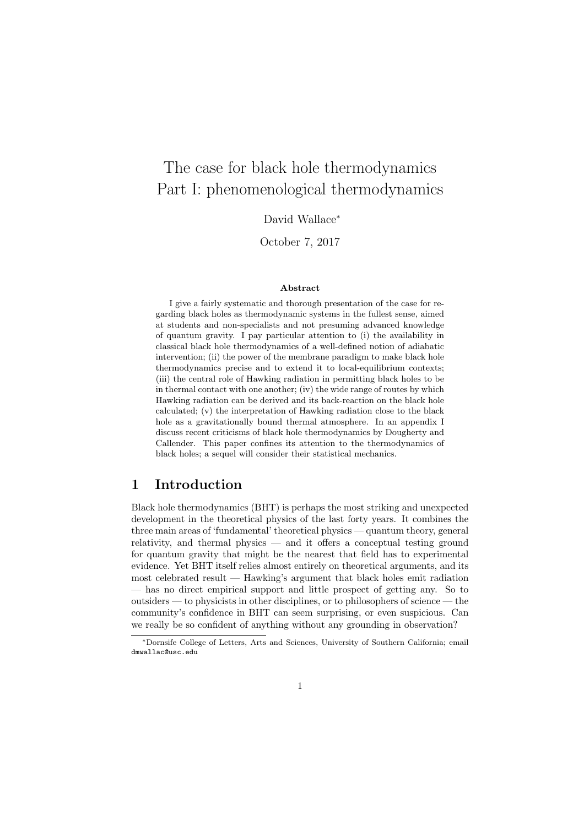# The case for black hole thermodynamics Part I: phenomenological thermodynamics

David Wallace<sup>∗</sup>

October 7, 2017

#### Abstract

I give a fairly systematic and thorough presentation of the case for regarding black holes as thermodynamic systems in the fullest sense, aimed at students and non-specialists and not presuming advanced knowledge of quantum gravity. I pay particular attention to (i) the availability in classical black hole thermodynamics of a well-defined notion of adiabatic intervention; (ii) the power of the membrane paradigm to make black hole thermodynamics precise and to extend it to local-equilibrium contexts; (iii) the central role of Hawking radiation in permitting black holes to be in thermal contact with one another; (iv) the wide range of routes by which Hawking radiation can be derived and its back-reaction on the black hole calculated; (v) the interpretation of Hawking radiation close to the black hole as a gravitationally bound thermal atmosphere. In an appendix I discuss recent criticisms of black hole thermodynamics by Dougherty and Callender. This paper confines its attention to the thermodynamics of black holes; a sequel will consider their statistical mechanics.

## 1 Introduction

Black hole thermodynamics (BHT) is perhaps the most striking and unexpected development in the theoretical physics of the last forty years. It combines the three main areas of 'fundamental' theoretical physics — quantum theory, general relativity, and thermal physics  $-$  and it offers a conceptual testing ground for quantum gravity that might be the nearest that field has to experimental evidence. Yet BHT itself relies almost entirely on theoretical arguments, and its most celebrated result — Hawking's argument that black holes emit radiation — has no direct empirical support and little prospect of getting any. So to outsiders — to physicists in other disciplines, or to philosophers of science — the community's confidence in BHT can seem surprising, or even suspicious. Can we really be so confident of anything without any grounding in observation?

<sup>∗</sup>Dornsife College of Letters, Arts and Sciences, University of Southern California; email dmwallac@usc.edu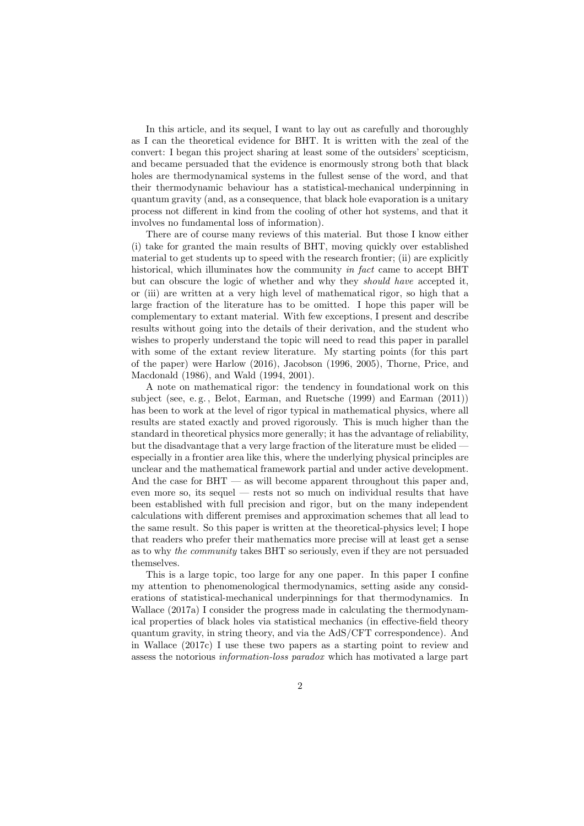In this article, and its sequel, I want to lay out as carefully and thoroughly as I can the theoretical evidence for BHT. It is written with the zeal of the convert: I began this project sharing at least some of the outsiders' scepticism, and became persuaded that the evidence is enormously strong both that black holes are thermodynamical systems in the fullest sense of the word, and that their thermodynamic behaviour has a statistical-mechanical underpinning in quantum gravity (and, as a consequence, that black hole evaporation is a unitary process not different in kind from the cooling of other hot systems, and that it involves no fundamental loss of information).

There are of course many reviews of this material. But those I know either (i) take for granted the main results of BHT, moving quickly over established material to get students up to speed with the research frontier; (ii) are explicitly historical, which illuminates how the community in fact came to accept BHT but can obscure the logic of whether and why they should have accepted it, or (iii) are written at a very high level of mathematical rigor, so high that a large fraction of the literature has to be omitted. I hope this paper will be complementary to extant material. With few exceptions, I present and describe results without going into the details of their derivation, and the student who wishes to properly understand the topic will need to read this paper in parallel with some of the extant review literature. My starting points (for this part of the paper) were Harlow (2016), Jacobson (1996, 2005), Thorne, Price, and Macdonald (1986), and Wald (1994, 2001).

A note on mathematical rigor: the tendency in foundational work on this subject (see, e. g. , Belot, Earman, and Ruetsche (1999) and Earman (2011)) has been to work at the level of rigor typical in mathematical physics, where all results are stated exactly and proved rigorously. This is much higher than the standard in theoretical physics more generally; it has the advantage of reliability, but the disadvantage that a very large fraction of the literature must be elided especially in a frontier area like this, where the underlying physical principles are unclear and the mathematical framework partial and under active development. And the case for  $BHT$  — as will become apparent throughout this paper and, even more so, its sequel — rests not so much on individual results that have been established with full precision and rigor, but on the many independent calculations with different premises and approximation schemes that all lead to the same result. So this paper is written at the theoretical-physics level; I hope that readers who prefer their mathematics more precise will at least get a sense as to why the community takes BHT so seriously, even if they are not persuaded themselves.

This is a large topic, too large for any one paper. In this paper I confine my attention to phenomenological thermodynamics, setting aside any considerations of statistical-mechanical underpinnings for that thermodynamics. In Wallace (2017a) I consider the progress made in calculating the thermodynamical properties of black holes via statistical mechanics (in effective-field theory quantum gravity, in string theory, and via the AdS/CFT correspondence). And in Wallace (2017c) I use these two papers as a starting point to review and assess the notorious information-loss paradox which has motivated a large part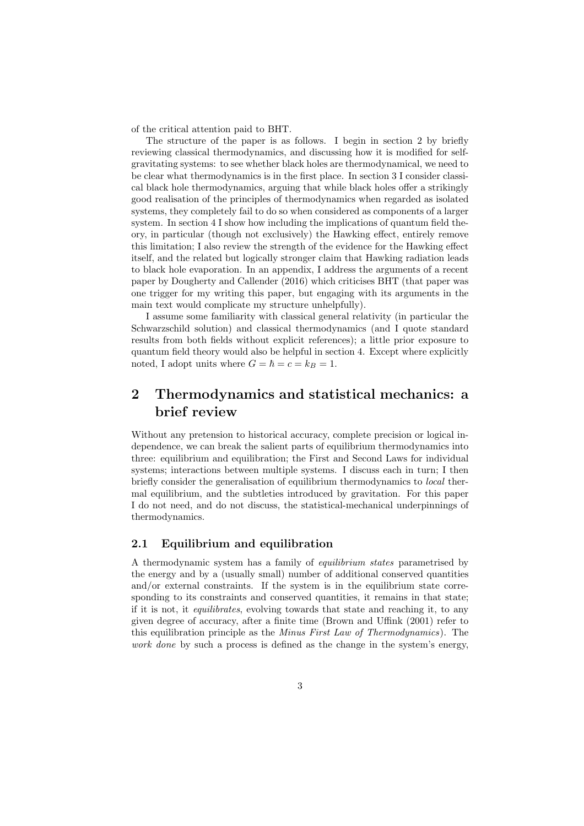of the critical attention paid to BHT.

The structure of the paper is as follows. I begin in section 2 by briefly reviewing classical thermodynamics, and discussing how it is modified for selfgravitating systems: to see whether black holes are thermodynamical, we need to be clear what thermodynamics is in the first place. In section 3 I consider classical black hole thermodynamics, arguing that while black holes offer a strikingly good realisation of the principles of thermodynamics when regarded as isolated systems, they completely fail to do so when considered as components of a larger system. In section 4 I show how including the implications of quantum field theory, in particular (though not exclusively) the Hawking effect, entirely remove this limitation; I also review the strength of the evidence for the Hawking effect itself, and the related but logically stronger claim that Hawking radiation leads to black hole evaporation. In an appendix, I address the arguments of a recent paper by Dougherty and Callender (2016) which criticises BHT (that paper was one trigger for my writing this paper, but engaging with its arguments in the main text would complicate my structure unhelpfully).

I assume some familiarity with classical general relativity (in particular the Schwarzschild solution) and classical thermodynamics (and I quote standard results from both fields without explicit references); a little prior exposure to quantum field theory would also be helpful in section 4. Except where explicitly noted, I adopt units where  $G = \hbar = c = k_B = 1$ .

## 2 Thermodynamics and statistical mechanics: a brief review

Without any pretension to historical accuracy, complete precision or logical independence, we can break the salient parts of equilibrium thermodynamics into three: equilibrium and equilibration; the First and Second Laws for individual systems; interactions between multiple systems. I discuss each in turn; I then briefly consider the generalisation of equilibrium thermodynamics to *local* thermal equilibrium, and the subtleties introduced by gravitation. For this paper I do not need, and do not discuss, the statistical-mechanical underpinnings of thermodynamics.

#### 2.1 Equilibrium and equilibration

A thermodynamic system has a family of equilibrium states parametrised by the energy and by a (usually small) number of additional conserved quantities and/or external constraints. If the system is in the equilibrium state corresponding to its constraints and conserved quantities, it remains in that state; if it is not, it equilibrates, evolving towards that state and reaching it, to any given degree of accuracy, after a finite time (Brown and Uffink (2001) refer to this equilibration principle as the Minus First Law of Thermodynamics). The work done by such a process is defined as the change in the system's energy,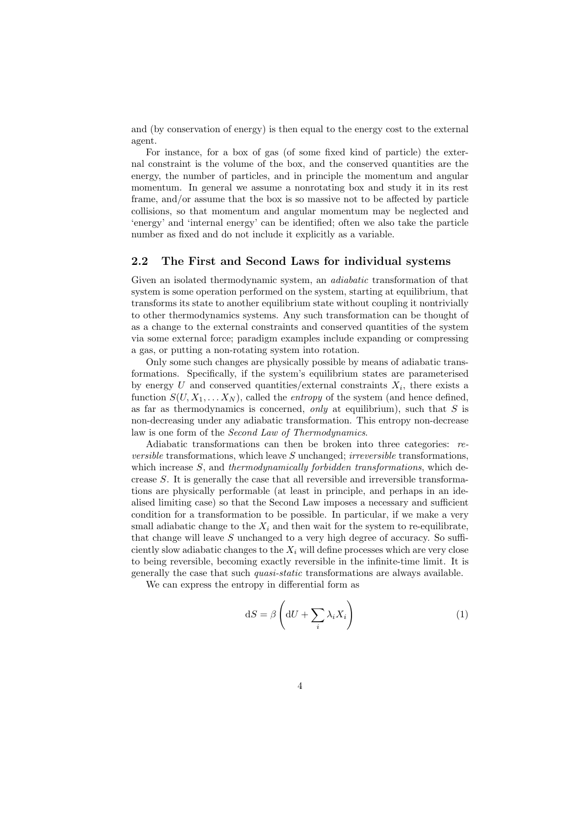and (by conservation of energy) is then equal to the energy cost to the external agent.

For instance, for a box of gas (of some fixed kind of particle) the external constraint is the volume of the box, and the conserved quantities are the energy, the number of particles, and in principle the momentum and angular momentum. In general we assume a nonrotating box and study it in its rest frame, and/or assume that the box is so massive not to be affected by particle collisions, so that momentum and angular momentum may be neglected and 'energy' and 'internal energy' can be identified; often we also take the particle number as fixed and do not include it explicitly as a variable.

#### 2.2 The First and Second Laws for individual systems

Given an isolated thermodynamic system, an *adiabatic* transformation of that system is some operation performed on the system, starting at equilibrium, that transforms its state to another equilibrium state without coupling it nontrivially to other thermodynamics systems. Any such transformation can be thought of as a change to the external constraints and conserved quantities of the system via some external force; paradigm examples include expanding or compressing a gas, or putting a non-rotating system into rotation.

Only some such changes are physically possible by means of adiabatic transformations. Specifically, if the system's equilibrium states are parameterised by energy U and conserved quantities/external constraints  $X_i$ , there exists a function  $S(U, X_1, \ldots, X_N)$ , called the *entropy* of the system (and hence defined, as far as thermodynamics is concerned, only at equilibrium), such that  $S$  is non-decreasing under any adiabatic transformation. This entropy non-decrease law is one form of the Second Law of Thermodynamics.

Adiabatic transformations can then be broken into three categories: reversible transformations, which leave  $S$  unchanged; *irreversible* transformations, which increase  $S$ , and *thermodynamically forbidden transformations*, which decrease  $S$ . It is generally the case that all reversible and irreversible transformations are physically performable (at least in principle, and perhaps in an idealised limiting case) so that the Second Law imposes a necessary and sufficient condition for a transformation to be possible. In particular, if we make a very small adiabatic change to the  $X_i$  and then wait for the system to re-equilibrate, that change will leave  $S$  unchanged to a very high degree of accuracy. So sufficiently slow adiabatic changes to the  $X_i$  will define processes which are very close to being reversible, becoming exactly reversible in the infinite-time limit. It is generally the case that such quasi-static transformations are always available.

We can express the entropy in differential form as

$$
dS = \beta \left( dU + \sum_{i} \lambda_i X_i \right) \tag{1}
$$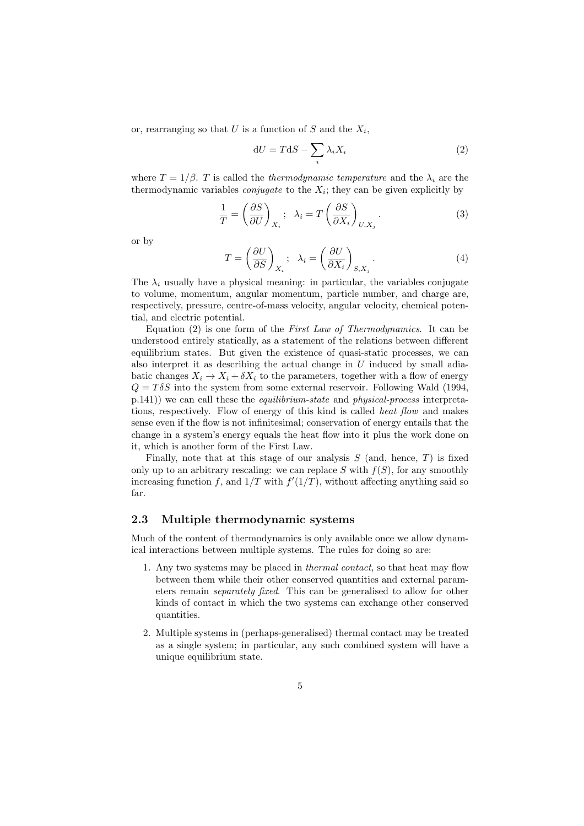or, rearranging so that U is a function of S and the  $X_i$ ,

$$
dU = TdS - \sum_{i} \lambda_i X_i \tag{2}
$$

where  $T = 1/\beta$ . T is called the *thermodynamic temperature* and the  $\lambda_i$  are the thermodynamic variables *conjugate* to the  $X_i$ ; they can be given explicitly by

$$
\frac{1}{T} = \left(\frac{\partial S}{\partial U}\right)_{X_i}; \quad \lambda_i = T\left(\frac{\partial S}{\partial X_i}\right)_{U, X_j}.
$$
\n(3)

or by

$$
T = \left(\frac{\partial U}{\partial S}\right)_{X_i}; \quad \lambda_i = \left(\frac{\partial U}{\partial X_i}\right)_{S, X_j}.
$$
 (4)

The  $\lambda_i$  usually have a physical meaning: in particular, the variables conjugate to volume, momentum, angular momentum, particle number, and charge are, respectively, pressure, centre-of-mass velocity, angular velocity, chemical potential, and electric potential.

Equation (2) is one form of the First Law of Thermodynamics. It can be understood entirely statically, as a statement of the relations between different equilibrium states. But given the existence of quasi-static processes, we can also interpret it as describing the actual change in  $U$  induced by small adiabatic changes  $X_i \to X_i + \delta X_i$  to the parameters, together with a flow of energy  $Q = T\delta S$  into the system from some external reservoir. Following Wald (1994, p.141)) we can call these the equilibrium-state and physical-process interpretations, respectively. Flow of energy of this kind is called heat flow and makes sense even if the flow is not infinitesimal; conservation of energy entails that the change in a system's energy equals the heat flow into it plus the work done on it, which is another form of the First Law.

Finally, note that at this stage of our analysis  $S$  (and, hence,  $T$ ) is fixed only up to an arbitrary rescaling: we can replace S with  $f(S)$ , for any smoothly increasing function f, and  $1/T$  with  $f'(1/T)$ , without affecting anything said so far.

#### 2.3 Multiple thermodynamic systems

Much of the content of thermodynamics is only available once we allow dynamical interactions between multiple systems. The rules for doing so are:

- 1. Any two systems may be placed in thermal contact, so that heat may flow between them while their other conserved quantities and external parameters remain separately fixed. This can be generalised to allow for other kinds of contact in which the two systems can exchange other conserved quantities.
- 2. Multiple systems in (perhaps-generalised) thermal contact may be treated as a single system; in particular, any such combined system will have a unique equilibrium state.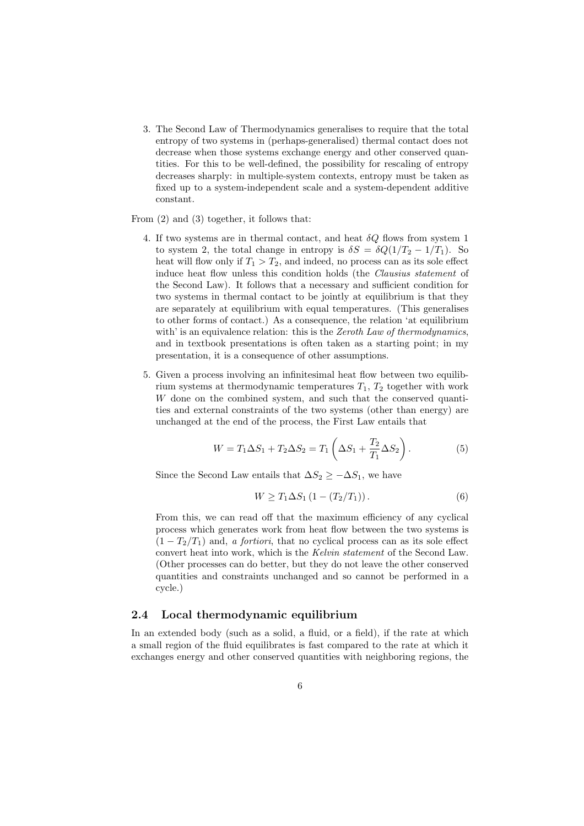3. The Second Law of Thermodynamics generalises to require that the total entropy of two systems in (perhaps-generalised) thermal contact does not decrease when those systems exchange energy and other conserved quantities. For this to be well-defined, the possibility for rescaling of entropy decreases sharply: in multiple-system contexts, entropy must be taken as fixed up to a system-independent scale and a system-dependent additive constant.

From (2) and (3) together, it follows that:

- 4. If two systems are in thermal contact, and heat  $\delta Q$  flows from system 1 to system 2, the total change in entropy is  $\delta S = \delta Q(1/T_2 - 1/T_1)$ . So heat will flow only if  $T_1 > T_2$ , and indeed, no process can as its sole effect induce heat flow unless this condition holds (the Clausius statement of the Second Law). It follows that a necessary and sufficient condition for two systems in thermal contact to be jointly at equilibrium is that they are separately at equilibrium with equal temperatures. (This generalises to other forms of contact.) As a consequence, the relation 'at equilibrium with' is an equivalence relation: this is the Zeroth Law of thermodynamics, and in textbook presentations is often taken as a starting point; in my presentation, it is a consequence of other assumptions.
- 5. Given a process involving an infinitesimal heat flow between two equilibrium systems at thermodynamic temperatures  $T_1, T_2$  together with work W done on the combined system, and such that the conserved quantities and external constraints of the two systems (other than energy) are unchanged at the end of the process, the First Law entails that

$$
W = T_1 \Delta S_1 + T_2 \Delta S_2 = T_1 \left( \Delta S_1 + \frac{T_2}{T_1} \Delta S_2 \right).
$$
 (5)

Since the Second Law entails that  $\Delta S_2 \geq -\Delta S_1$ , we have

$$
W \ge T_1 \Delta S_1 \left( 1 - (T_2/T_1) \right). \tag{6}
$$

From this, we can read off that the maximum efficiency of any cyclical process which generates work from heat flow between the two systems is  $(1 - T_2/T_1)$  and, a fortiori, that no cyclical process can as its sole effect convert heat into work, which is the Kelvin statement of the Second Law. (Other processes can do better, but they do not leave the other conserved quantities and constraints unchanged and so cannot be performed in a cycle.)

#### 2.4 Local thermodynamic equilibrium

In an extended body (such as a solid, a fluid, or a field), if the rate at which a small region of the fluid equilibrates is fast compared to the rate at which it exchanges energy and other conserved quantities with neighboring regions, the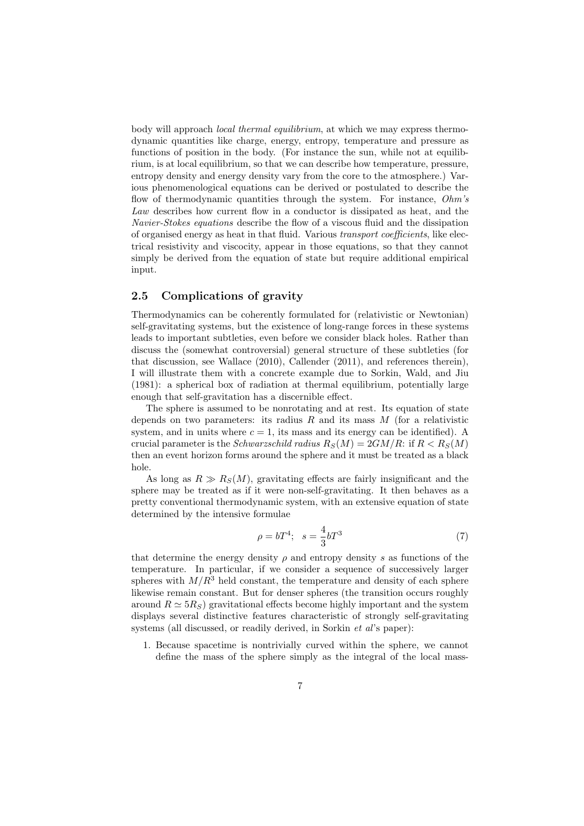body will approach local thermal equilibrium, at which we may express thermodynamic quantities like charge, energy, entropy, temperature and pressure as functions of position in the body. (For instance the sun, while not at equilibrium, is at local equilibrium, so that we can describe how temperature, pressure, entropy density and energy density vary from the core to the atmosphere.) Various phenomenological equations can be derived or postulated to describe the flow of thermodynamic quantities through the system. For instance, Ohm's Law describes how current flow in a conductor is dissipated as heat, and the Navier-Stokes equations describe the flow of a viscous fluid and the dissipation of organised energy as heat in that fluid. Various transport coefficients, like electrical resistivity and viscocity, appear in those equations, so that they cannot simply be derived from the equation of state but require additional empirical input.

#### 2.5 Complications of gravity

Thermodynamics can be coherently formulated for (relativistic or Newtonian) self-gravitating systems, but the existence of long-range forces in these systems leads to important subtleties, even before we consider black holes. Rather than discuss the (somewhat controversial) general structure of these subtleties (for that discussion, see Wallace (2010), Callender (2011), and references therein), I will illustrate them with a concrete example due to Sorkin, Wald, and Jiu (1981): a spherical box of radiation at thermal equilibrium, potentially large enough that self-gravitation has a discernible effect.

The sphere is assumed to be nonrotating and at rest. Its equation of state depends on two parameters: its radius  $R$  and its mass  $M$  (for a relativistic system, and in units where  $c = 1$ , its mass and its energy can be identified). A crucial parameter is the Schwarzschild radius  $R_S(M) = 2GM/R$ : if  $R < R_S(M)$ then an event horizon forms around the sphere and it must be treated as a black hole.

As long as  $R \gg R_s(M)$ , gravitating effects are fairly insignificant and the sphere may be treated as if it were non-self-gravitating. It then behaves as a pretty conventional thermodynamic system, with an extensive equation of state determined by the intensive formulae

$$
\rho = bT^4; \quad s = \frac{4}{3}bT^3 \tag{7}
$$

that determine the energy density  $\rho$  and entropy density s as functions of the temperature. In particular, if we consider a sequence of successively larger spheres with  $M/R<sup>3</sup>$  held constant, the temperature and density of each sphere likewise remain constant. But for denser spheres (the transition occurs roughly around  $R \simeq 5R_s$ ) gravitational effects become highly important and the system displays several distinctive features characteristic of strongly self-gravitating systems (all discussed, or readily derived, in Sorkin et al's paper):

1. Because spacetime is nontrivially curved within the sphere, we cannot define the mass of the sphere simply as the integral of the local mass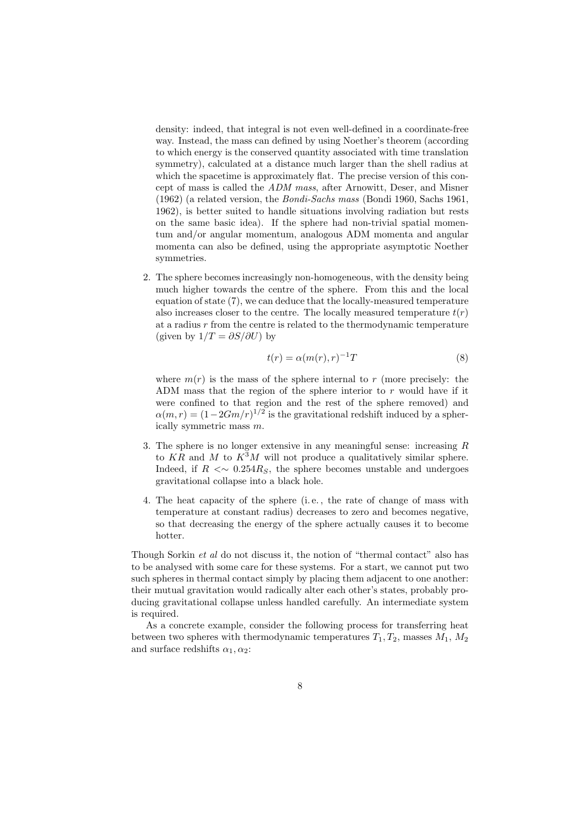density: indeed, that integral is not even well-defined in a coordinate-free way. Instead, the mass can defined by using Noether's theorem (according to which energy is the conserved quantity associated with time translation symmetry), calculated at a distance much larger than the shell radius at which the spacetime is approximately flat. The precise version of this concept of mass is called the ADM mass, after Arnowitt, Deser, and Misner (1962) (a related version, the Bondi-Sachs mass (Bondi 1960, Sachs 1961, 1962), is better suited to handle situations involving radiation but rests on the same basic idea). If the sphere had non-trivial spatial momentum and/or angular momentum, analogous ADM momenta and angular momenta can also be defined, using the appropriate asymptotic Noether symmetries.

2. The sphere becomes increasingly non-homogeneous, with the density being much higher towards the centre of the sphere. From this and the local equation of state (7), we can deduce that the locally-measured temperature also increases closer to the centre. The locally measured temperature  $t(r)$ at a radius r from the centre is related to the thermodynamic temperature (given by  $1/T = \partial S/\partial U$ ) by

$$
t(r) = \alpha(m(r), r)^{-1}T\tag{8}
$$

where  $m(r)$  is the mass of the sphere internal to r (more precisely: the ADM mass that the region of the sphere interior to  $r$  would have if it were confined to that region and the rest of the sphere removed) and  $\alpha(m,r) = (1 - 2Gm/r)^{1/2}$  is the gravitational redshift induced by a spherically symmetric mass m.

- 3. The sphere is no longer extensive in any meaningful sense: increasing R to  $KR$  and M to  $K^3M$  will not produce a qualitatively similar sphere. Indeed, if  $R \ll 0.254R<sub>S</sub>$ , the sphere becomes unstable and undergoes gravitational collapse into a black hole.
- 4. The heat capacity of the sphere (i. e. , the rate of change of mass with temperature at constant radius) decreases to zero and becomes negative, so that decreasing the energy of the sphere actually causes it to become hotter.

Though Sorkin et al do not discuss it, the notion of "thermal contact" also has to be analysed with some care for these systems. For a start, we cannot put two such spheres in thermal contact simply by placing them adjacent to one another: their mutual gravitation would radically alter each other's states, probably producing gravitational collapse unless handled carefully. An intermediate system is required.

As a concrete example, consider the following process for transferring heat between two spheres with thermodynamic temperatures  $T_1, T_2$ , masses  $M_1, M_2$ and surface redshifts  $\alpha_1, \alpha_2$ :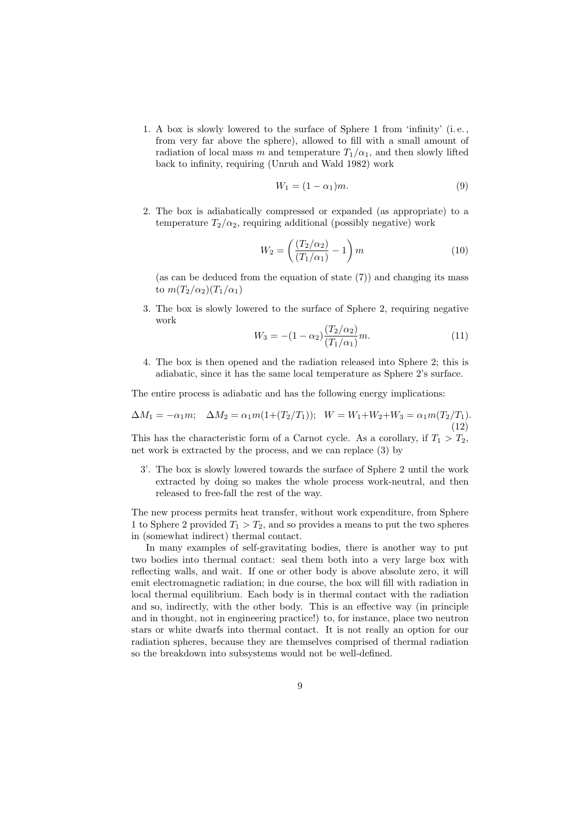1. A box is slowly lowered to the surface of Sphere 1 from 'infinity' (i. e. , from very far above the sphere), allowed to fill with a small amount of radiation of local mass m and temperature  $T_1/\alpha_1$ , and then slowly lifted back to infinity, requiring (Unruh and Wald 1982) work

$$
W_1 = (1 - \alpha_1)m. \tag{9}
$$

2. The box is adiabatically compressed or expanded (as appropriate) to a temperature  $T_2/\alpha_2$ , requiring additional (possibly negative) work

$$
W_2 = \left(\frac{(T_2/\alpha_2)}{(T_1/\alpha_1)} - 1\right)m\tag{10}
$$

(as can be deduced from the equation of state (7)) and changing its mass to  $m(T_2/\alpha_2)(T_1/\alpha_1)$ 

3. The box is slowly lowered to the surface of Sphere 2, requiring negative work

$$
W_3 = -(1 - \alpha_2) \frac{(T_2/\alpha_2)}{(T_1/\alpha_1)} m.
$$
\n(11)

4. The box is then opened and the radiation released into Sphere 2; this is adiabatic, since it has the same local temperature as Sphere 2's surface.

The entire process is adiabatic and has the following energy implications:

$$
\Delta M_1 = -\alpha_1 m; \quad \Delta M_2 = \alpha_1 m (1 + (T_2/T_1)); \quad W = W_1 + W_2 + W_3 = \alpha_1 m (T_2/T_1).
$$
\n(12)

This has the characteristic form of a Carnot cycle. As a corollary, if  $T_1 > T_2$ , net work is extracted by the process, and we can replace (3) by

3'. The box is slowly lowered towards the surface of Sphere 2 until the work extracted by doing so makes the whole process work-neutral, and then released to free-fall the rest of the way.

The new process permits heat transfer, without work expenditure, from Sphere 1 to Sphere 2 provided  $T_1 > T_2$ , and so provides a means to put the two spheres in (somewhat indirect) thermal contact.

In many examples of self-gravitating bodies, there is another way to put two bodies into thermal contact: seal them both into a very large box with reflecting walls, and wait. If one or other body is above absolute zero, it will emit electromagnetic radiation; in due course, the box will fill with radiation in local thermal equilibrium. Each body is in thermal contact with the radiation and so, indirectly, with the other body. This is an effective way (in principle and in thought, not in engineering practice!) to, for instance, place two neutron stars or white dwarfs into thermal contact. It is not really an option for our radiation spheres, because they are themselves comprised of thermal radiation so the breakdown into subsystems would not be well-defined.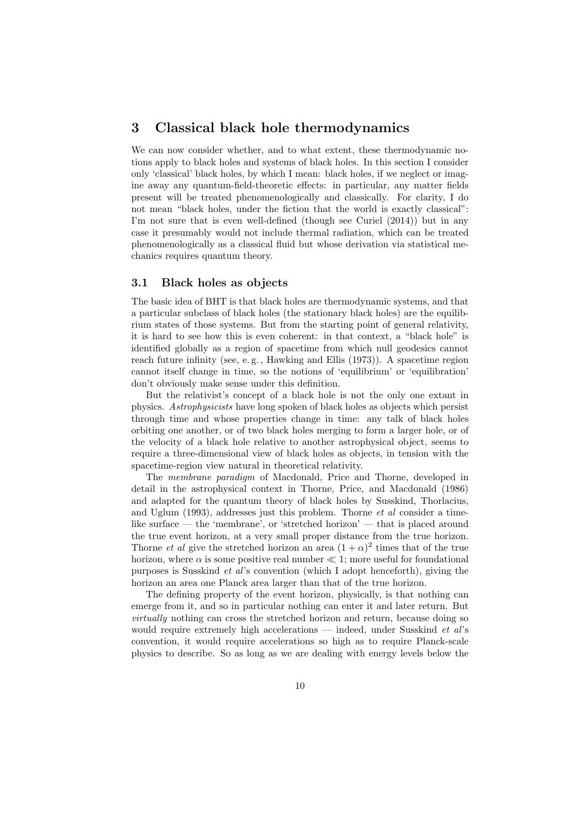### 3 Classical black hole thermodynamics

We can now consider whether, and to what extent, these thermodynamic notions apply to black holes and systems of black holes. In this section I consider only 'classical' black holes, by which I mean: black holes, if we neglect or imagine away any quantum-field-theoretic effects: in particular, any matter fields present will be treated phenomenologically and classically. For clarity, I do not mean "black holes, under the fiction that the world is exactly classical": I'm not sure that is even well-defined (though see Curiel (2014)) but in any case it presumably would not include thermal radiation, which can be treated phenomenologically as a classical fluid but whose derivation via statistical mechanics requires quantum theory.

#### 3.1 Black holes as objects

The basic idea of BHT is that black holes are thermodynamic systems, and that a particular subclass of black holes (the stationary black holes) are the equilibrium states of those systems. But from the starting point of general relativity, it is hard to see how this is even coherent: in that context, a "black hole" is identified globally as a region of spacetime from which null geodesics cannot reach future infinity (see, e.g., Hawking and Ellis (1973)). A spacetime region cannot itself change in time, so the notions of 'equilibrium' or 'equilibration' don't obviously make sense under this definition.

But the relativist's concept of a black hole is not the only one extant in physics. Astrophysicists have long spoken of black holes as objects which persist through time and whose properties change in time: any talk of black holes orbiting one another, or of two black holes merging to form a larger hole, or of the velocity of a black hole relative to another astrophysical object, seems to require a three-dimensional view of black holes as objects, in tension with the spacetime-region view natural in theoretical relativity.

The membrane paradigm of Macdonald, Price and Thorne, developed in detail in the astrophysical context in Thorne, Price, and Macdonald (1986) and adapted for the quantum theory of black holes by Susskind, Thorlacius, and Uglum (1993), addresses just this problem. Thorne et al consider a timelike surface — the 'membrane', or 'stretched horizon' — that is placed around the true event horizon, at a very small proper distance from the true horizon. Thorne *et al* give the stretched horizon an area  $(1 + \alpha)^2$  times that of the true horizon, where  $\alpha$  is some positive real number  $\ll 1$ ; more useful for foundational purposes is Susskind et al's convention (which I adopt henceforth), giving the horizon an area one Planck area larger than that of the true horizon.

The defining property of the event horizon, physically, is that nothing can emerge from it, and so in particular nothing can enter it and later return. But virtually nothing can cross the stretched horizon and return, because doing so would require extremely high accelerations — indeed, under Susskind et al's convention, it would require accelerations so high as to require Planck-scale physics to describe. So as long as we are dealing with energy levels below the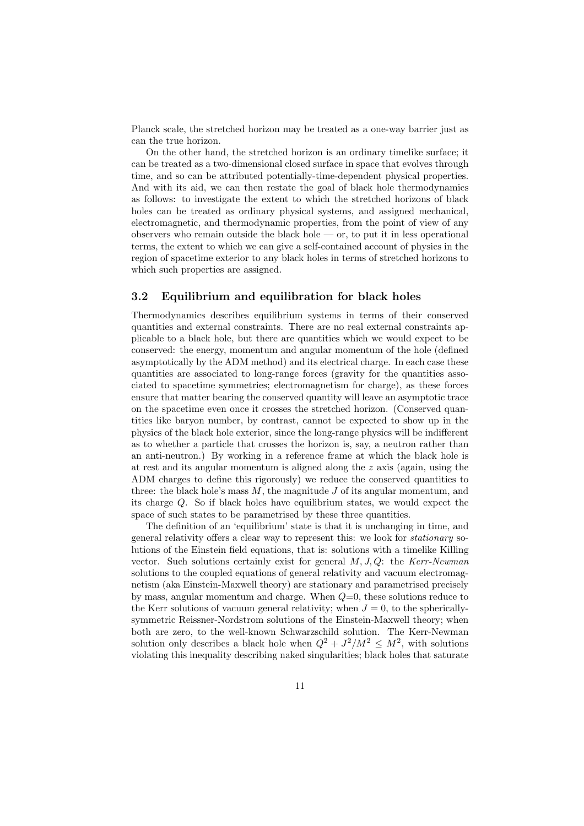Planck scale, the stretched horizon may be treated as a one-way barrier just as can the true horizon.

On the other hand, the stretched horizon is an ordinary timelike surface; it can be treated as a two-dimensional closed surface in space that evolves through time, and so can be attributed potentially-time-dependent physical properties. And with its aid, we can then restate the goal of black hole thermodynamics as follows: to investigate the extent to which the stretched horizons of black holes can be treated as ordinary physical systems, and assigned mechanical, electromagnetic, and thermodynamic properties, from the point of view of any observers who remain outside the black hole  $-$  or, to put it in less operational terms, the extent to which we can give a self-contained account of physics in the region of spacetime exterior to any black holes in terms of stretched horizons to which such properties are assigned.

#### 3.2 Equilibrium and equilibration for black holes

Thermodynamics describes equilibrium systems in terms of their conserved quantities and external constraints. There are no real external constraints applicable to a black hole, but there are quantities which we would expect to be conserved: the energy, momentum and angular momentum of the hole (defined asymptotically by the ADM method) and its electrical charge. In each case these quantities are associated to long-range forces (gravity for the quantities associated to spacetime symmetries; electromagnetism for charge), as these forces ensure that matter bearing the conserved quantity will leave an asymptotic trace on the spacetime even once it crosses the stretched horizon. (Conserved quantities like baryon number, by contrast, cannot be expected to show up in the physics of the black hole exterior, since the long-range physics will be indifferent as to whether a particle that crosses the horizon is, say, a neutron rather than an anti-neutron.) By working in a reference frame at which the black hole is at rest and its angular momentum is aligned along the  $z$  axis (again, using the ADM charges to define this rigorously) we reduce the conserved quantities to three: the black hole's mass  $M$ , the magnitude  $J$  of its angular momentum, and its charge Q. So if black holes have equilibrium states, we would expect the space of such states to be parametrised by these three quantities.

The definition of an 'equilibrium' state is that it is unchanging in time, and general relativity offers a clear way to represent this: we look for stationary solutions of the Einstein field equations, that is: solutions with a timelike Killing vector. Such solutions certainly exist for general  $M, J, Q$ : the Kerr-Newman solutions to the coupled equations of general relativity and vacuum electromagnetism (aka Einstein-Maxwell theory) are stationary and parametrised precisely by mass, angular momentum and charge. When  $Q=0$ , these solutions reduce to the Kerr solutions of vacuum general relativity; when  $J = 0$ , to the sphericallysymmetric Reissner-Nordstrom solutions of the Einstein-Maxwell theory; when both are zero, to the well-known Schwarzschild solution. The Kerr-Newman solution only describes a black hole when  $Q^2 + J^2/M^2 \leq M^2$ , with solutions violating this inequality describing naked singularities; black holes that saturate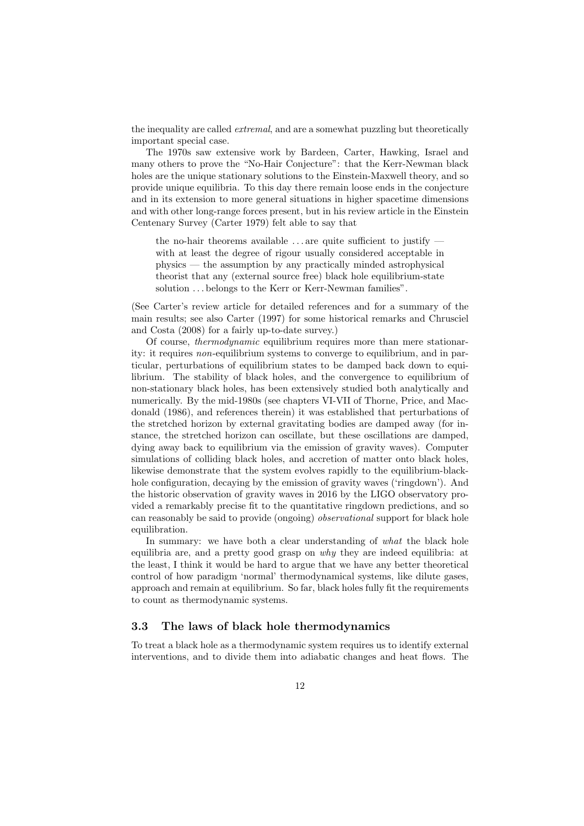the inequality are called extremal, and are a somewhat puzzling but theoretically important special case.

The 1970s saw extensive work by Bardeen, Carter, Hawking, Israel and many others to prove the "No-Hair Conjecture": that the Kerr-Newman black holes are the unique stationary solutions to the Einstein-Maxwell theory, and so provide unique equilibria. To this day there remain loose ends in the conjecture and in its extension to more general situations in higher spacetime dimensions and with other long-range forces present, but in his review article in the Einstein Centenary Survey (Carter 1979) felt able to say that

the no-hair theorems available  $\dots$  are quite sufficient to justify  $$ with at least the degree of rigour usually considered acceptable in physics — the assumption by any practically minded astrophysical theorist that any (external source free) black hole equilibrium-state solution ... belongs to the Kerr or Kerr-Newman families".

(See Carter's review article for detailed references and for a summary of the main results; see also Carter (1997) for some historical remarks and Chrusciel and Costa (2008) for a fairly up-to-date survey.)

Of course, thermodynamic equilibrium requires more than mere stationarity: it requires non-equilibrium systems to converge to equilibrium, and in particular, perturbations of equilibrium states to be damped back down to equilibrium. The stability of black holes, and the convergence to equilibrium of non-stationary black holes, has been extensively studied both analytically and numerically. By the mid-1980s (see chapters VI-VII of Thorne, Price, and Macdonald (1986), and references therein) it was established that perturbations of the stretched horizon by external gravitating bodies are damped away (for instance, the stretched horizon can oscillate, but these oscillations are damped, dying away back to equilibrium via the emission of gravity waves). Computer simulations of colliding black holes, and accretion of matter onto black holes, likewise demonstrate that the system evolves rapidly to the equilibrium-blackhole configuration, decaying by the emission of gravity waves ('ringdown'). And the historic observation of gravity waves in 2016 by the LIGO observatory provided a remarkably precise fit to the quantitative ringdown predictions, and so can reasonably be said to provide (ongoing) observational support for black hole equilibration.

In summary: we have both a clear understanding of what the black hole equilibria are, and a pretty good grasp on why they are indeed equilibria: at the least, I think it would be hard to argue that we have any better theoretical control of how paradigm 'normal' thermodynamical systems, like dilute gases, approach and remain at equilibrium. So far, black holes fully fit the requirements to count as thermodynamic systems.

#### 3.3 The laws of black hole thermodynamics

To treat a black hole as a thermodynamic system requires us to identify external interventions, and to divide them into adiabatic changes and heat flows. The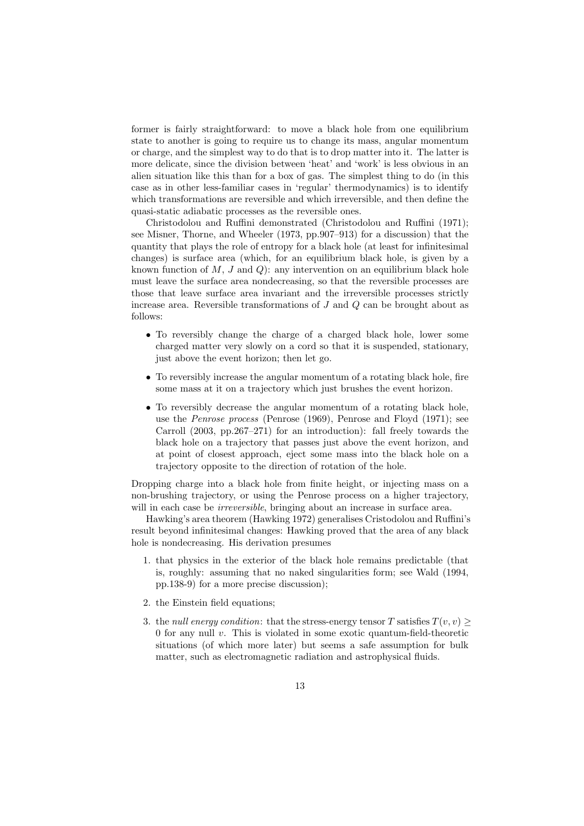former is fairly straightforward: to move a black hole from one equilibrium state to another is going to require us to change its mass, angular momentum or charge, and the simplest way to do that is to drop matter into it. The latter is more delicate, since the division between 'heat' and 'work' is less obvious in an alien situation like this than for a box of gas. The simplest thing to do (in this case as in other less-familiar cases in 'regular' thermodynamics) is to identify which transformations are reversible and which irreversible, and then define the quasi-static adiabatic processes as the reversible ones.

Christodolou and Ruffini demonstrated (Christodolou and Ruffini (1971); see Misner, Thorne, and Wheeler (1973, pp.907–913) for a discussion) that the quantity that plays the role of entropy for a black hole (at least for infinitesimal changes) is surface area (which, for an equilibrium black hole, is given by a known function of  $M$ ,  $J$  and  $Q$ ): any intervention on an equilibrium black hole must leave the surface area nondecreasing, so that the reversible processes are those that leave surface area invariant and the irreversible processes strictly increase area. Reversible transformations of J and Q can be brought about as follows:

- To reversibly change the charge of a charged black hole, lower some charged matter very slowly on a cord so that it is suspended, stationary, just above the event horizon; then let go.
- To reversibly increase the angular momentum of a rotating black hole, fire some mass at it on a trajectory which just brushes the event horizon.
- To reversibly decrease the angular momentum of a rotating black hole, use the Penrose process (Penrose (1969), Penrose and Floyd (1971); see Carroll (2003, pp.267–271) for an introduction): fall freely towards the black hole on a trajectory that passes just above the event horizon, and at point of closest approach, eject some mass into the black hole on a trajectory opposite to the direction of rotation of the hole.

Dropping charge into a black hole from finite height, or injecting mass on a non-brushing trajectory, or using the Penrose process on a higher trajectory, will in each case be *irreversible*, bringing about an increase in surface area.

Hawking's area theorem (Hawking 1972) generalises Cristodolou and Ruffini's result beyond infinitesimal changes: Hawking proved that the area of any black hole is nondecreasing. His derivation presumes

- 1. that physics in the exterior of the black hole remains predictable (that is, roughly: assuming that no naked singularities form; see Wald (1994, pp.138-9) for a more precise discussion);
- 2. the Einstein field equations;
- 3. the null energy condition: that the stress-energy tensor T satisfies  $T(v, v) \geq$ 0 for any null v. This is violated in some exotic quantum-field-theoretic situations (of which more later) but seems a safe assumption for bulk matter, such as electromagnetic radiation and astrophysical fluids.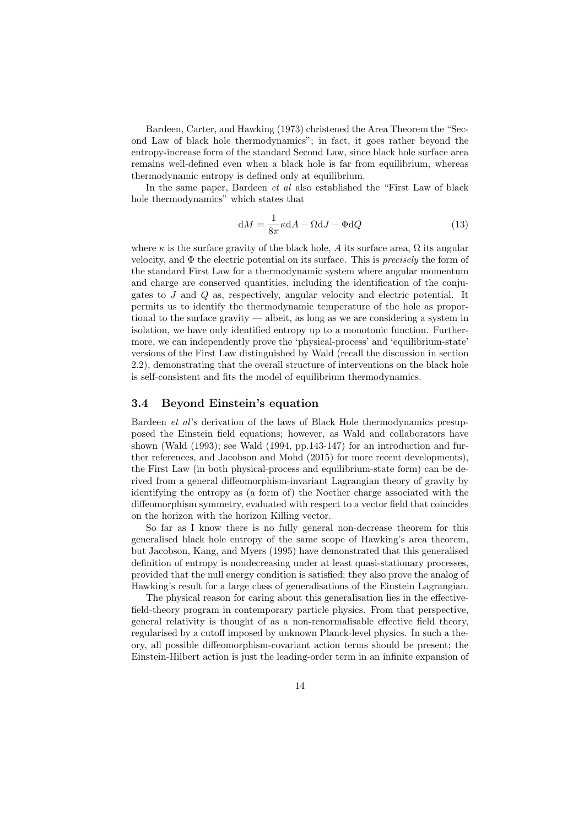Bardeen, Carter, and Hawking (1973) christened the Area Theorem the "Second Law of black hole thermodynamics"; in fact, it goes rather beyond the entropy-increase form of the standard Second Law, since black hole surface area remains well-defined even when a black hole is far from equilibrium, whereas thermodynamic entropy is defined only at equilibrium.

In the same paper, Bardeen et al also established the "First Law of black hole thermodynamics" which states that

$$
dM = \frac{1}{8\pi}\kappa dA - \Omega dJ - \Phi dQ \qquad (13)
$$

where  $\kappa$  is the surface gravity of the black hole, A its surface area,  $\Omega$  its angular velocity, and  $\Phi$  the electric potential on its surface. This is *precisely* the form of the standard First Law for a thermodynamic system where angular momentum and charge are conserved quantities, including the identification of the conjugates to J and Q as, respectively, angular velocity and electric potential. It permits us to identify the thermodynamic temperature of the hole as proportional to the surface gravity — albeit, as long as we are considering a system in isolation, we have only identified entropy up to a monotonic function. Furthermore, we can independently prove the 'physical-process' and 'equilibrium-state' versions of the First Law distinguished by Wald (recall the discussion in section 2.2), demonstrating that the overall structure of interventions on the black hole is self-consistent and fits the model of equilibrium thermodynamics.

#### 3.4 Beyond Einstein's equation

Bardeen et al's derivation of the laws of Black Hole thermodynamics presupposed the Einstein field equations; however, as Wald and collaborators have shown (Wald (1993); see Wald (1994, pp.143-147) for an introduction and further references, and Jacobson and Mohd (2015) for more recent developments), the First Law (in both physical-process and equilibrium-state form) can be derived from a general diffeomorphism-invariant Lagrangian theory of gravity by identifying the entropy as (a form of) the Noether charge associated with the diffeomorphism symmetry, evaluated with respect to a vector field that coincides on the horizon with the horizon Killing vector.

So far as I know there is no fully general non-decrease theorem for this generalised black hole entropy of the same scope of Hawking's area theorem, but Jacobson, Kang, and Myers (1995) have demonstrated that this generalised definition of entropy is nondecreasing under at least quasi-stationary processes, provided that the null energy condition is satisfied; they also prove the analog of Hawking's result for a large class of generalisations of the Einstein Lagrangian.

The physical reason for caring about this generalisation lies in the effectivefield-theory program in contemporary particle physics. From that perspective, general relativity is thought of as a non-renormalisable effective field theory, regularised by a cutoff imposed by unknown Planck-level physics. In such a theory, all possible diffeomorphism-covariant action terms should be present; the Einstein-Hilbert action is just the leading-order term in an infinite expansion of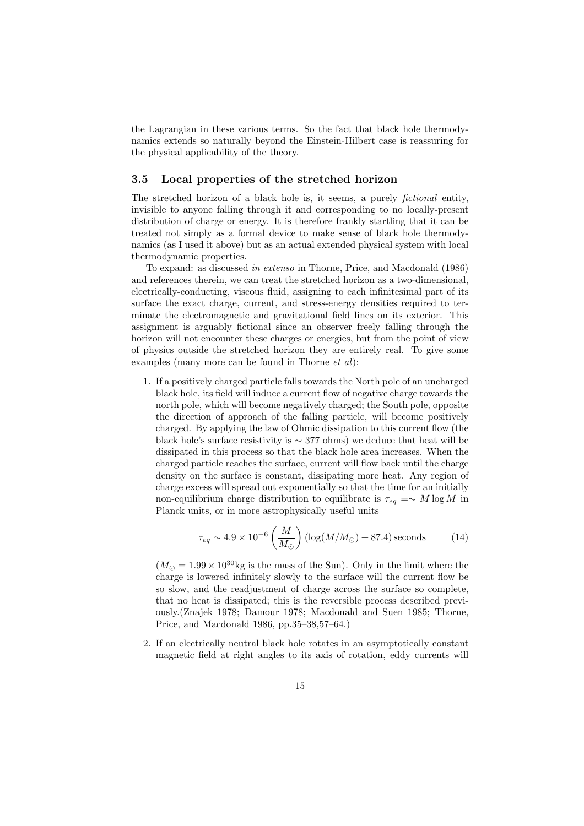the Lagrangian in these various terms. So the fact that black hole thermodynamics extends so naturally beyond the Einstein-Hilbert case is reassuring for the physical applicability of the theory.

#### 3.5 Local properties of the stretched horizon

The stretched horizon of a black hole is, it seems, a purely fictional entity, invisible to anyone falling through it and corresponding to no locally-present distribution of charge or energy. It is therefore frankly startling that it can be treated not simply as a formal device to make sense of black hole thermodynamics (as I used it above) but as an actual extended physical system with local thermodynamic properties.

To expand: as discussed in extenso in Thorne, Price, and Macdonald (1986) and references therein, we can treat the stretched horizon as a two-dimensional, electrically-conducting, viscous fluid, assigning to each infinitesimal part of its surface the exact charge, current, and stress-energy densities required to terminate the electromagnetic and gravitational field lines on its exterior. This assignment is arguably fictional since an observer freely falling through the horizon will not encounter these charges or energies, but from the point of view of physics outside the stretched horizon they are entirely real. To give some examples (many more can be found in Thorne et al):

1. If a positively charged particle falls towards the North pole of an uncharged black hole, its field will induce a current flow of negative charge towards the north pole, which will become negatively charged; the South pole, opposite the direction of approach of the falling particle, will become positively charged. By applying the law of Ohmic dissipation to this current flow (the black hole's surface resistivity is  $\sim$  377 ohms) we deduce that heat will be dissipated in this process so that the black hole area increases. When the charged particle reaches the surface, current will flow back until the charge density on the surface is constant, dissipating more heat. Any region of charge excess will spread out exponentially so that the time for an initially non-equilibrium charge distribution to equilibrate is  $\tau_{eq} = \sim M \log M$  in Planck units, or in more astrophysically useful units

$$
\tau_{eq} \sim 4.9 \times 10^{-6} \left(\frac{M}{M_{\odot}}\right) \left(\log(M/M_{\odot}) + 87.4\right) \text{seconds} \tag{14}
$$

 $(M_{\odot} = 1.99 \times 10^{30}$ kg is the mass of the Sun). Only in the limit where the charge is lowered infinitely slowly to the surface will the current flow be so slow, and the readjustment of charge across the surface so complete, that no heat is dissipated; this is the reversible process described previously.(Znajek 1978; Damour 1978; Macdonald and Suen 1985; Thorne, Price, and Macdonald 1986, pp.35–38,57–64.)

2. If an electrically neutral black hole rotates in an asymptotically constant magnetic field at right angles to its axis of rotation, eddy currents will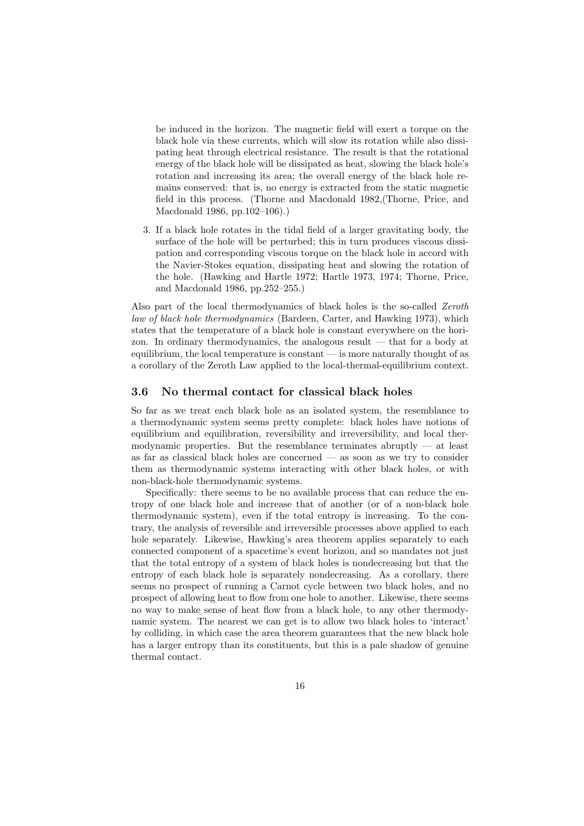be induced in the horizon. The magnetic field will exert a torque on the black hole via these currents, which will slow its rotation while also dissipating heat through electrical resistance. The result is that the rotational energy of the black hole will be dissipated as heat, slowing the black hole's rotation and increasing its area; the overall energy of the black hole remains conserved: that is, no energy is extracted from the static magnetic field in this process. (Thorne and Macdonald 1982,(Thorne, Price, and Macdonald 1986, pp.102–106).)

3. If a black hole rotates in the tidal field of a larger gravitating body, the surface of the hole will be perturbed; this in turn produces viscous dissipation and corresponding viscous torque on the black hole in accord with the Navier-Stokes equation, dissipating heat and slowing the rotation of the hole. (Hawking and Hartle 1972; Hartle 1973, 1974; Thorne, Price, and Macdonald 1986, pp.252–255.)

Also part of the local thermodynamics of black holes is the so-called Zeroth law of black hole thermodynamics (Bardeen, Carter, and Hawking 1973), which states that the temperature of a black hole is constant everywhere on the horizon. In ordinary thermodynamics, the analogous result — that for a body at equilibrium, the local temperature is constant — is more naturally thought of as a corollary of the Zeroth Law applied to the local-thermal-equilibrium context.

#### 3.6 No thermal contact for classical black holes

So far as we treat each black hole as an isolated system, the resemblance to a thermodynamic system seems pretty complete: black holes have notions of equilibrium and equilibration, reversibility and irreversibility, and local thermodynamic properties. But the resemblance terminates abruptly — at least as far as classical black holes are concerned — as soon as we try to consider them as thermodynamic systems interacting with other black holes, or with non-black-hole thermodynamic systems.

Specifically: there seems to be no available process that can reduce the entropy of one black hole and increase that of another (or of a non-black hole thermodynamic system), even if the total entropy is increasing. To the contrary, the analysis of reversible and irreversible processes above applied to each hole separately. Likewise, Hawking's area theorem applies separately to each connected component of a spacetime's event horizon, and so mandates not just that the total entropy of a system of black holes is nondecreasing but that the entropy of each black hole is separately nondecreasing. As a corollary, there seems no prospect of running a Carnot cycle between two black holes, and no prospect of allowing heat to flow from one hole to another. Likewise, there seems no way to make sense of heat flow from a black hole, to any other thermodynamic system. The nearest we can get is to allow two black holes to 'interact' by colliding, in which case the area theorem guarantees that the new black hole has a larger entropy than its constituents, but this is a pale shadow of genuine thermal contact.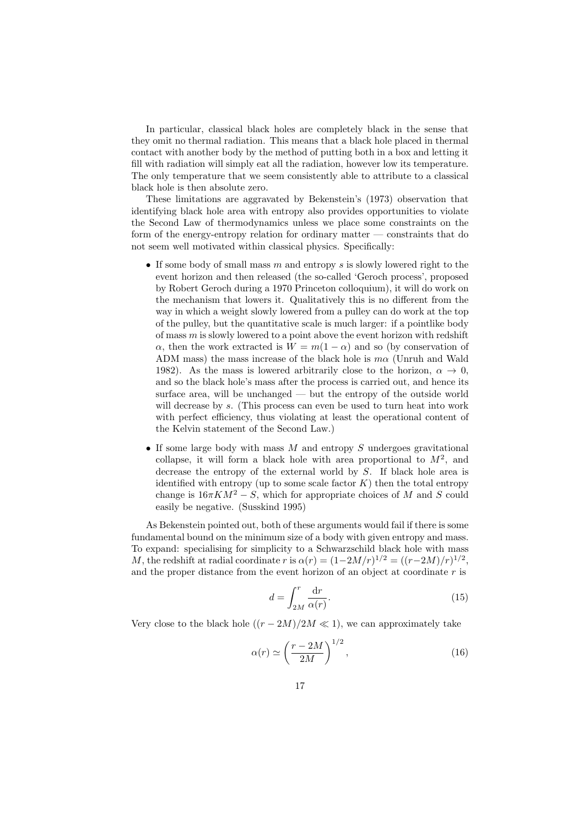In particular, classical black holes are completely black in the sense that they omit no thermal radiation. This means that a black hole placed in thermal contact with another body by the method of putting both in a box and letting it fill with radiation will simply eat all the radiation, however low its temperature. The only temperature that we seem consistently able to attribute to a classical black hole is then absolute zero.

These limitations are aggravated by Bekenstein's (1973) observation that identifying black hole area with entropy also provides opportunities to violate the Second Law of thermodynamics unless we place some constraints on the form of the energy-entropy relation for ordinary matter — constraints that do not seem well motivated within classical physics. Specifically:

- If some body of small mass  $m$  and entropy  $s$  is slowly lowered right to the event horizon and then released (the so-called 'Geroch process', proposed by Robert Geroch during a 1970 Princeton colloquium), it will do work on the mechanism that lowers it. Qualitatively this is no different from the way in which a weight slowly lowered from a pulley can do work at the top of the pulley, but the quantitative scale is much larger: if a pointlike body of mass  $m$  is slowly lowered to a point above the event horizon with redshift  $\alpha$ , then the work extracted is  $W = m(1 - \alpha)$  and so (by conservation of ADM mass) the mass increase of the black hole is  $m\alpha$  (Unruh and Wald 1982). As the mass is lowered arbitrarily close to the horizon,  $\alpha \to 0$ , and so the black hole's mass after the process is carried out, and hence its surface area, will be unchanged — but the entropy of the outside world will decrease by s. (This process can even be used to turn heat into work with perfect efficiency, thus violating at least the operational content of the Kelvin statement of the Second Law.)
- If some large body with mass  $M$  and entropy  $S$  undergoes gravitational collapse, it will form a black hole with area proportional to  $M^2$ , and decrease the entropy of the external world by S. If black hole area is identified with entropy (up to some scale factor  $K$ ) then the total entropy change is  $16\pi KM^2 - S$ , which for appropriate choices of M and S could easily be negative. (Susskind 1995)

As Bekenstein pointed out, both of these arguments would fail if there is some fundamental bound on the minimum size of a body with given entropy and mass. To expand: specialising for simplicity to a Schwarzschild black hole with mass M, the redshift at radial coordinate r is  $\alpha(r) = (1-2M/r)^{1/2} = ((r-2M)/r)^{1/2}$ , and the proper distance from the event horizon of an object at coordinate  $r$  is

$$
d = \int_{2M}^{r} \frac{\mathrm{d}r}{\alpha(r)}.\tag{15}
$$

Very close to the black hole  $((r - 2M)/2M \ll 1)$ , we can approximately take

$$
\alpha(r) \simeq \left(\frac{r - 2M}{2M}\right)^{1/2},\tag{16}
$$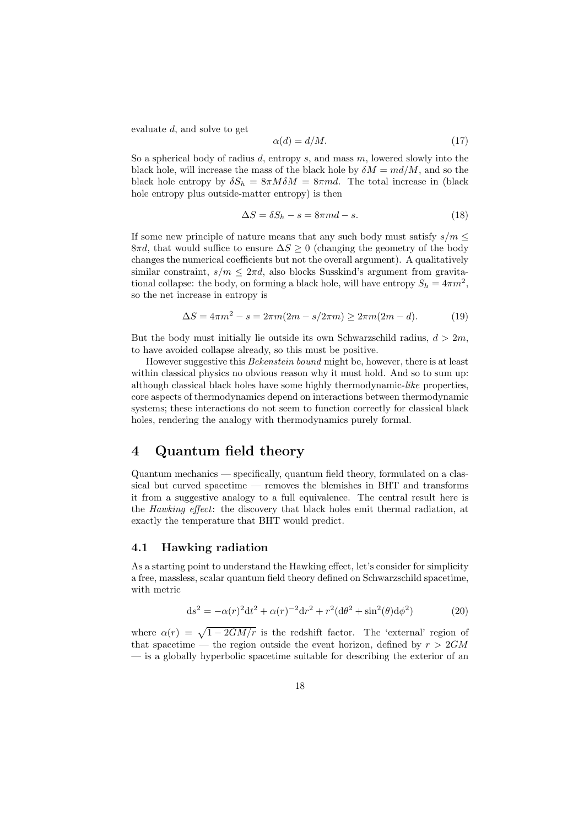evaluate d, and solve to get

$$
\alpha(d) = d/M. \tag{17}
$$

So a spherical body of radius d, entropy s, and mass  $m$ , lowered slowly into the black hole, will increase the mass of the black hole by  $\delta M = md/M$ , and so the black hole entropy by  $\delta S_h = 8\pi M \delta M = 8\pi m d$ . The total increase in (black hole entropy plus outside-matter entropy) is then

$$
\Delta S = \delta S_h - s = 8\pi m d - s. \tag{18}
$$

If some new principle of nature means that any such body must satisfy  $s/m \leq$ 8πd, that would suffice to ensure  $\Delta S \geq 0$  (changing the geometry of the body changes the numerical coefficients but not the overall argument). A qualitatively similar constraint,  $s/m \leq 2\pi d$ , also blocks Susskind's argument from gravitational collapse: the body, on forming a black hole, will have entropy  $S_h = 4\pi m^2$ , so the net increase in entropy is

$$
\Delta S = 4\pi m^2 - s = 2\pi m (2m - s/2\pi m) \ge 2\pi m (2m - d). \tag{19}
$$

But the body must initially lie outside its own Schwarzschild radius,  $d > 2m$ , to have avoided collapse already, so this must be positive.

However suggestive this Bekenstein bound might be, however, there is at least within classical physics no obvious reason why it must hold. And so to sum up: although classical black holes have some highly thermodynamic-like properties, core aspects of thermodynamics depend on interactions between thermodynamic systems; these interactions do not seem to function correctly for classical black holes, rendering the analogy with thermodynamics purely formal.

## 4 Quantum field theory

Quantum mechanics — specifically, quantum field theory, formulated on a classical but curved spacetime — removes the blemishes in BHT and transforms it from a suggestive analogy to a full equivalence. The central result here is the Hawking effect: the discovery that black holes emit thermal radiation, at exactly the temperature that BHT would predict.

#### 4.1 Hawking radiation

As a starting point to understand the Hawking effect, let's consider for simplicity a free, massless, scalar quantum field theory defined on Schwarzschild spacetime, with metric

$$
ds^{2} = -\alpha(r)^{2}dt^{2} + \alpha(r)^{-2}dr^{2} + r^{2}(d\theta^{2} + \sin^{2}(\theta)d\phi^{2})
$$
 (20)

where  $\alpha(r) = \sqrt{1 - 2GM/r}$  is the redshift factor. The 'external' region of that spacetime — the region outside the event horizon, defined by  $r > 2GM$ — is a globally hyperbolic spacetime suitable for describing the exterior of an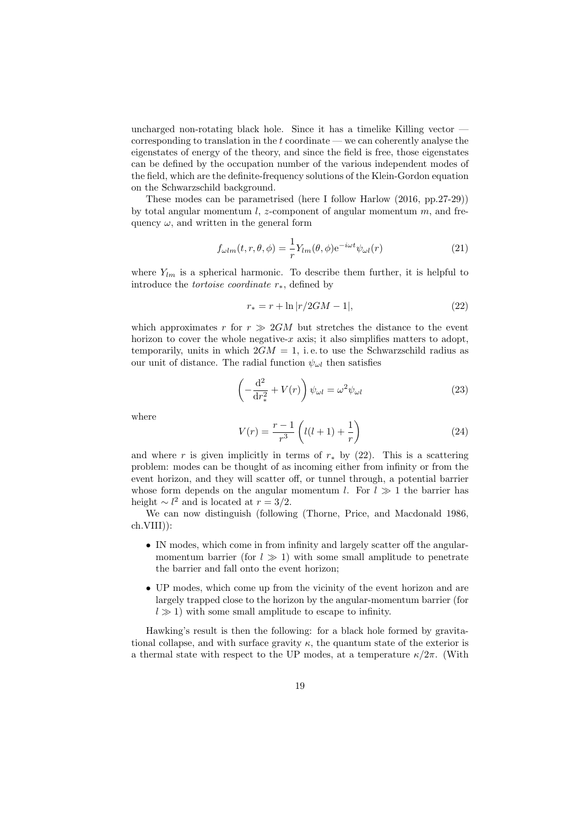uncharged non-rotating black hole. Since it has a timelike Killing vector corresponding to translation in the  $t$  coordinate — we can coherently analyse the eigenstates of energy of the theory, and since the field is free, those eigenstates can be defined by the occupation number of the various independent modes of the field, which are the definite-frequency solutions of the Klein-Gordon equation on the Schwarzschild background.

These modes can be parametrised (here I follow Harlow (2016, pp.27-29)) by total angular momentum l, z-component of angular momentum  $m$ , and frequency  $\omega$ , and written in the general form

$$
f_{\omega lm}(t, r, \theta, \phi) = \frac{1}{r} Y_{lm}(\theta, \phi) e^{-i\omega t} \psi_{\omega l}(r)
$$
\n(21)

where  $Y_{lm}$  is a spherical harmonic. To describe them further, it is helpful to introduce the *tortoise coordinate*  $r_*,$  defined by

$$
r_* = r + \ln|r/2GM - 1|,
$$
\n(22)

which approximates r for  $r \gg 2GM$  but stretches the distance to the event horizon to cover the whole negative-x axis; it also simplifies matters to adopt. temporarily, units in which  $2GM = 1$ , i.e. to use the Schwarzschild radius as our unit of distance. The radial function  $\psi_{\omega l}$  then satisfies

$$
\left(-\frac{\mathrm{d}^2}{\mathrm{d}r_*^2} + V(r)\right)\psi_{\omega l} = \omega^2 \psi_{\omega l} \tag{23}
$$

where

$$
V(r) = \frac{r-1}{r^3} \left( l(l+1) + \frac{1}{r} \right)
$$
 (24)

and where r is given implicitly in terms of  $r_*$  by (22). This is a scattering problem: modes can be thought of as incoming either from infinity or from the event horizon, and they will scatter off, or tunnel through, a potential barrier whose form depends on the angular momentum l. For  $l \gg 1$  the barrier has height  $\sim l^2$  and is located at  $r = 3/2$ .

We can now distinguish (following (Thorne, Price, and Macdonald 1986, ch.VIII)):

- IN modes, which come in from infinity and largely scatter off the angularmomentum barrier (for  $l \gg 1$ ) with some small amplitude to penetrate the barrier and fall onto the event horizon;
- UP modes, which come up from the vicinity of the event horizon and are largely trapped close to the horizon by the angular-momentum barrier (for  $l \gg 1$ ) with some small amplitude to escape to infinity.

Hawking's result is then the following: for a black hole formed by gravitational collapse, and with surface gravity  $\kappa$ , the quantum state of the exterior is a thermal state with respect to the UP modes, at a temperature  $\kappa/2\pi$ . (With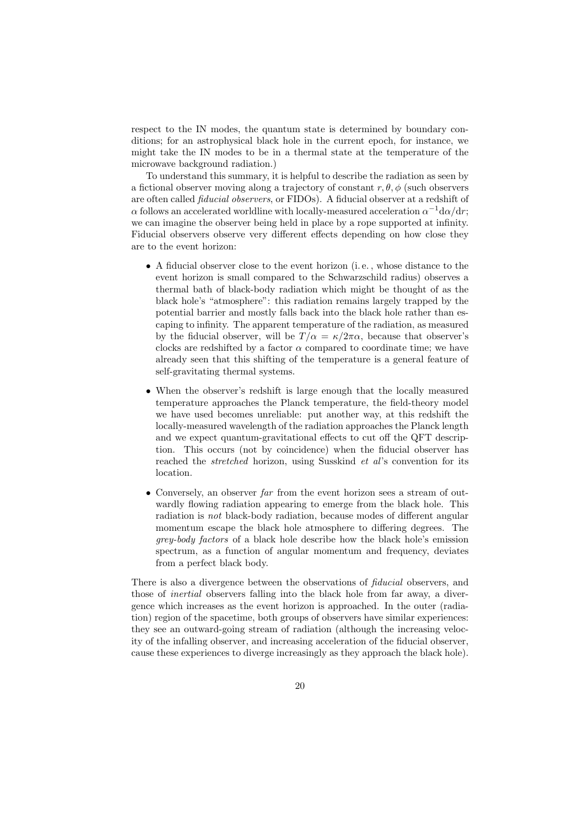respect to the IN modes, the quantum state is determined by boundary conditions; for an astrophysical black hole in the current epoch, for instance, we might take the IN modes to be in a thermal state at the temperature of the microwave background radiation.)

To understand this summary, it is helpful to describe the radiation as seen by a fictional observer moving along a trajectory of constant  $r, \theta, \phi$  (such observers are often called fiducial observers, or FIDOs). A fiducial observer at a redshift of  $\alpha$  follows an accelerated worldline with locally-measured acceleration  $\alpha^{-1} d\alpha/dr;$ we can imagine the observer being held in place by a rope supported at infinity. Fiducial observers observe very different effects depending on how close they are to the event horizon:

- A fiducial observer close to the event horizon (i. e. , whose distance to the event horizon is small compared to the Schwarzschild radius) observes a thermal bath of black-body radiation which might be thought of as the black hole's "atmosphere": this radiation remains largely trapped by the potential barrier and mostly falls back into the black hole rather than escaping to infinity. The apparent temperature of the radiation, as measured by the fiducial observer, will be  $T/\alpha = \kappa/2\pi\alpha$ , because that observer's clocks are redshifted by a factor  $\alpha$  compared to coordinate time; we have already seen that this shifting of the temperature is a general feature of self-gravitating thermal systems.
- When the observer's redshift is large enough that the locally measured temperature approaches the Planck temperature, the field-theory model we have used becomes unreliable: put another way, at this redshift the locally-measured wavelength of the radiation approaches the Planck length and we expect quantum-gravitational effects to cut off the QFT description. This occurs (not by coincidence) when the fiducial observer has reached the *stretched* horizon, using Susskind *et al's* convention for its location.
- Conversely, an observer  $\eta$  from the event horizon sees a stream of outwardly flowing radiation appearing to emerge from the black hole. This radiation is not black-body radiation, because modes of different angular momentum escape the black hole atmosphere to differing degrees. The grey-body factors of a black hole describe how the black hole's emission spectrum, as a function of angular momentum and frequency, deviates from a perfect black body.

There is also a divergence between the observations of fiducial observers, and those of inertial observers falling into the black hole from far away, a divergence which increases as the event horizon is approached. In the outer (radiation) region of the spacetime, both groups of observers have similar experiences: they see an outward-going stream of radiation (although the increasing velocity of the infalling observer, and increasing acceleration of the fiducial observer, cause these experiences to diverge increasingly as they approach the black hole).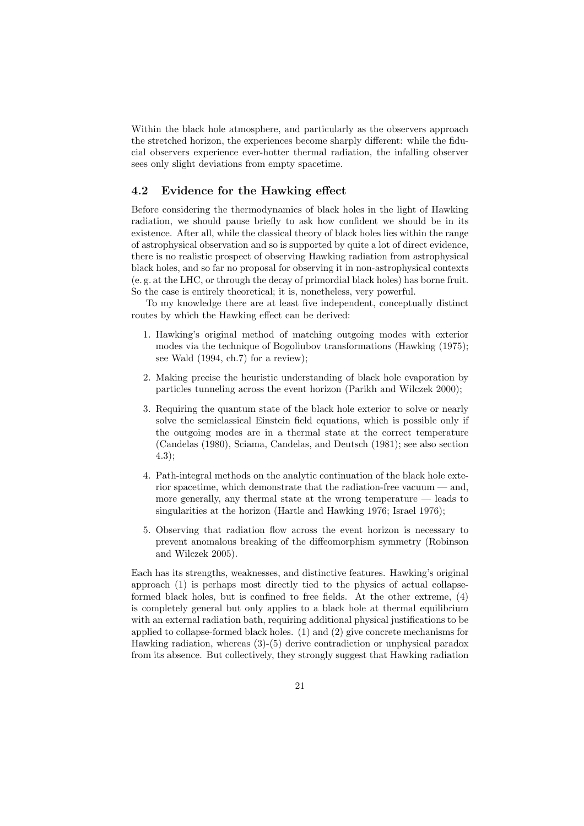Within the black hole atmosphere, and particularly as the observers approach the stretched horizon, the experiences become sharply different: while the fiducial observers experience ever-hotter thermal radiation, the infalling observer sees only slight deviations from empty spacetime.

#### 4.2 Evidence for the Hawking effect

Before considering the thermodynamics of black holes in the light of Hawking radiation, we should pause briefly to ask how confident we should be in its existence. After all, while the classical theory of black holes lies within the range of astrophysical observation and so is supported by quite a lot of direct evidence, there is no realistic prospect of observing Hawking radiation from astrophysical black holes, and so far no proposal for observing it in non-astrophysical contexts (e. g. at the LHC, or through the decay of primordial black holes) has borne fruit. So the case is entirely theoretical; it is, nonetheless, very powerful.

To my knowledge there are at least five independent, conceptually distinct routes by which the Hawking effect can be derived:

- 1. Hawking's original method of matching outgoing modes with exterior modes via the technique of Bogoliubov transformations (Hawking (1975); see Wald (1994, ch.7) for a review);
- 2. Making precise the heuristic understanding of black hole evaporation by particles tunneling across the event horizon (Parikh and Wilczek 2000);
- 3. Requiring the quantum state of the black hole exterior to solve or nearly solve the semiclassical Einstein field equations, which is possible only if the outgoing modes are in a thermal state at the correct temperature (Candelas (1980), Sciama, Candelas, and Deutsch (1981); see also section 4.3);
- 4. Path-integral methods on the analytic continuation of the black hole exterior spacetime, which demonstrate that the radiation-free vacuum — and, more generally, any thermal state at the wrong temperature — leads to singularities at the horizon (Hartle and Hawking 1976; Israel 1976);
- 5. Observing that radiation flow across the event horizon is necessary to prevent anomalous breaking of the diffeomorphism symmetry (Robinson and Wilczek 2005).

Each has its strengths, weaknesses, and distinctive features. Hawking's original approach (1) is perhaps most directly tied to the physics of actual collapseformed black holes, but is confined to free fields. At the other extreme, (4) is completely general but only applies to a black hole at thermal equilibrium with an external radiation bath, requiring additional physical justifications to be applied to collapse-formed black holes. (1) and (2) give concrete mechanisms for Hawking radiation, whereas (3)-(5) derive contradiction or unphysical paradox from its absence. But collectively, they strongly suggest that Hawking radiation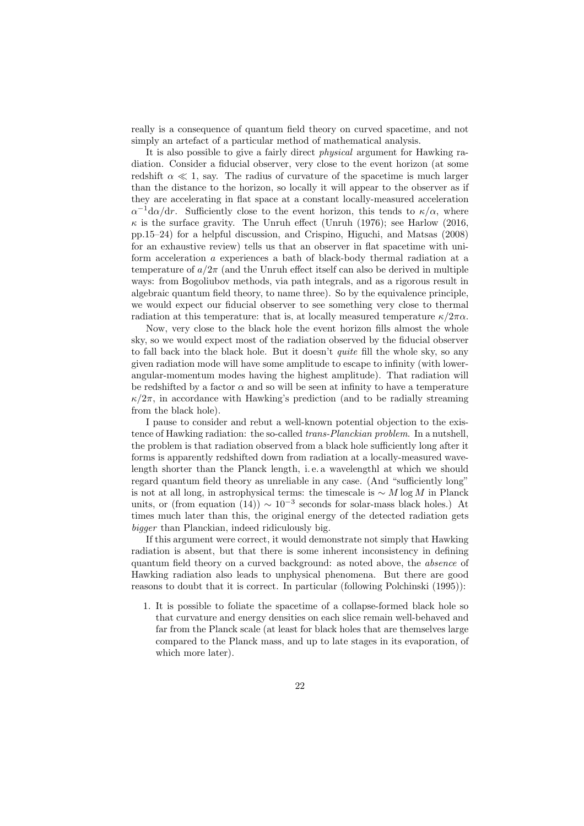really is a consequence of quantum field theory on curved spacetime, and not simply an artefact of a particular method of mathematical analysis.

It is also possible to give a fairly direct physical argument for Hawking radiation. Consider a fiducial observer, very close to the event horizon (at some redshift  $\alpha \ll 1$ , say. The radius of curvature of the spacetime is much larger than the distance to the horizon, so locally it will appear to the observer as if they are accelerating in flat space at a constant locally-measured acceleration  $\alpha^{-1}d\alpha/dr$ . Sufficiently close to the event horizon, this tends to  $\kappa/\alpha$ , where  $\kappa$  is the surface gravity. The Unruh effect (Unruh (1976); see Harlow (2016, pp.15–24) for a helpful discussion, and Crispino, Higuchi, and Matsas (2008) for an exhaustive review) tells us that an observer in flat spacetime with uniform acceleration a experiences a bath of black-body thermal radiation at a temperature of  $a/2\pi$  (and the Unruh effect itself can also be derived in multiple ways: from Bogoliubov methods, via path integrals, and as a rigorous result in algebraic quantum field theory, to name three). So by the equivalence principle, we would expect our fiducial observer to see something very close to thermal radiation at this temperature: that is, at locally measured temperature  $\kappa/2\pi\alpha$ .

Now, very close to the black hole the event horizon fills almost the whole sky, so we would expect most of the radiation observed by the fiducial observer to fall back into the black hole. But it doesn't quite fill the whole sky, so any given radiation mode will have some amplitude to escape to infinity (with lowerangular-momentum modes having the highest amplitude). That radiation will be redshifted by a factor  $\alpha$  and so will be seen at infinity to have a temperature  $\kappa/2\pi$ , in accordance with Hawking's prediction (and to be radially streaming from the black hole).

I pause to consider and rebut a well-known potential objection to the existence of Hawking radiation: the so-called trans-Planckian problem. In a nutshell, the problem is that radiation observed from a black hole sufficiently long after it forms is apparently redshifted down from radiation at a locally-measured wavelength shorter than the Planck length, i. e. a wavelengthl at which we should regard quantum field theory as unreliable in any case. (And "sufficiently long" is not at all long, in astrophysical terms: the timescale is  $\sim M \log M$  in Planck units, or (from equation  $(14)$ ) ~  $10^{-3}$  seconds for solar-mass black holes.) At times much later than this, the original energy of the detected radiation gets bigger than Planckian, indeed ridiculously big.

If this argument were correct, it would demonstrate not simply that Hawking radiation is absent, but that there is some inherent inconsistency in defining quantum field theory on a curved background: as noted above, the absence of Hawking radiation also leads to unphysical phenomena. But there are good reasons to doubt that it is correct. In particular (following Polchinski (1995)):

1. It is possible to foliate the spacetime of a collapse-formed black hole so that curvature and energy densities on each slice remain well-behaved and far from the Planck scale (at least for black holes that are themselves large compared to the Planck mass, and up to late stages in its evaporation, of which more later).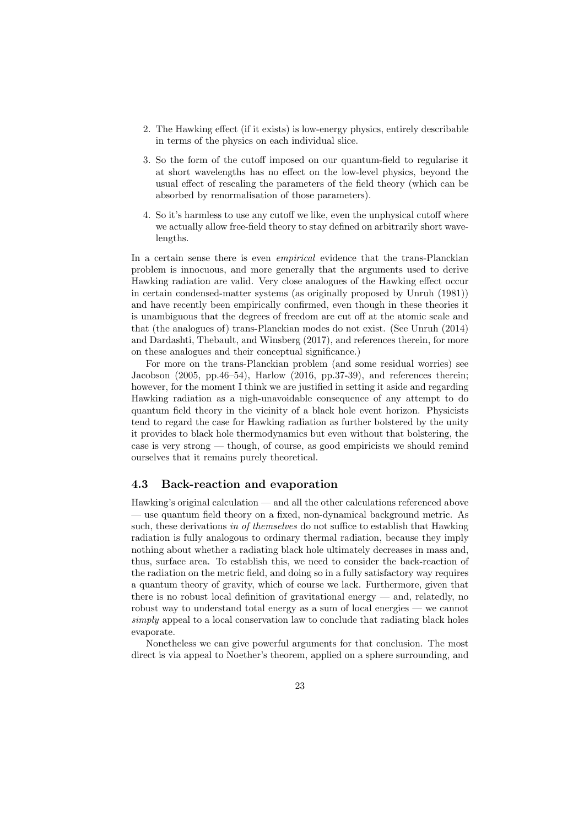- 2. The Hawking effect (if it exists) is low-energy physics, entirely describable in terms of the physics on each individual slice.
- 3. So the form of the cutoff imposed on our quantum-field to regularise it at short wavelengths has no effect on the low-level physics, beyond the usual effect of rescaling the parameters of the field theory (which can be absorbed by renormalisation of those parameters).
- 4. So it's harmless to use any cutoff we like, even the unphysical cutoff where we actually allow free-field theory to stay defined on arbitrarily short wavelengths.

In a certain sense there is even *empirical* evidence that the trans-Planckian problem is innocuous, and more generally that the arguments used to derive Hawking radiation are valid. Very close analogues of the Hawking effect occur in certain condensed-matter systems (as originally proposed by Unruh (1981)) and have recently been empirically confirmed, even though in these theories it is unambiguous that the degrees of freedom are cut off at the atomic scale and that (the analogues of) trans-Planckian modes do not exist. (See Unruh (2014) and Dardashti, Thebault, and Winsberg (2017), and references therein, for more on these analogues and their conceptual significance.)

For more on the trans-Planckian problem (and some residual worries) see Jacobson (2005, pp.46–54), Harlow (2016, pp.37-39), and references therein; however, for the moment I think we are justified in setting it aside and regarding Hawking radiation as a nigh-unavoidable consequence of any attempt to do quantum field theory in the vicinity of a black hole event horizon. Physicists tend to regard the case for Hawking radiation as further bolstered by the unity it provides to black hole thermodynamics but even without that bolstering, the case is very strong — though, of course, as good empiricists we should remind ourselves that it remains purely theoretical.

#### 4.3 Back-reaction and evaporation

Hawking's original calculation — and all the other calculations referenced above — use quantum field theory on a fixed, non-dynamical background metric. As such, these derivations in of themselves do not suffice to establish that Hawking radiation is fully analogous to ordinary thermal radiation, because they imply nothing about whether a radiating black hole ultimately decreases in mass and, thus, surface area. To establish this, we need to consider the back-reaction of the radiation on the metric field, and doing so in a fully satisfactory way requires a quantum theory of gravity, which of course we lack. Furthermore, given that there is no robust local definition of gravitational energy — and, relatedly, no robust way to understand total energy as a sum of local energies — we cannot simply appeal to a local conservation law to conclude that radiating black holes evaporate.

Nonetheless we can give powerful arguments for that conclusion. The most direct is via appeal to Noether's theorem, applied on a sphere surrounding, and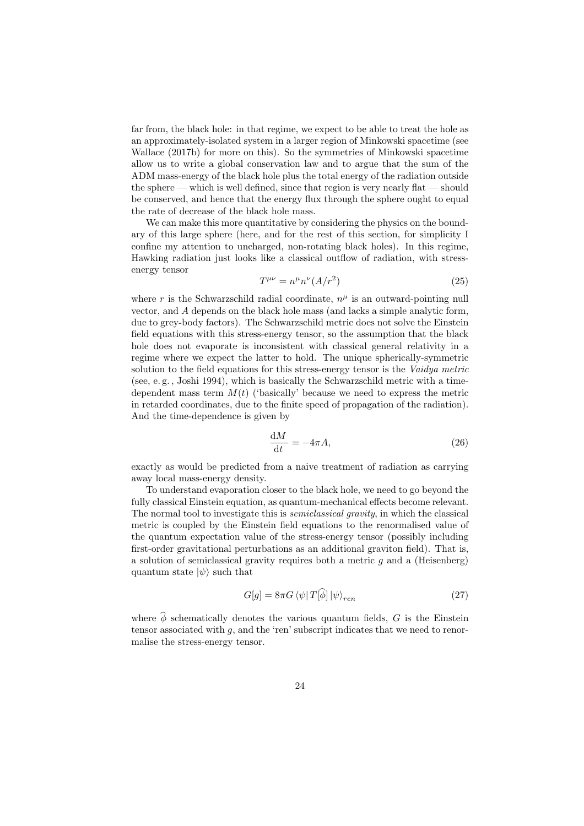far from, the black hole: in that regime, we expect to be able to treat the hole as an approximately-isolated system in a larger region of Minkowski spacetime (see Wallace (2017b) for more on this). So the symmetries of Minkowski spacetime allow us to write a global conservation law and to argue that the sum of the ADM mass-energy of the black hole plus the total energy of the radiation outside the sphere — which is well defined, since that region is very nearly flat — should be conserved, and hence that the energy flux through the sphere ought to equal the rate of decrease of the black hole mass.

We can make this more quantitative by considering the physics on the boundary of this large sphere (here, and for the rest of this section, for simplicity I confine my attention to uncharged, non-rotating black holes). In this regime, Hawking radiation just looks like a classical outflow of radiation, with stressenergy tensor

$$
T^{\mu\nu} = n^{\mu}n^{\nu}(A/r^2)
$$
\n<sup>(25)</sup>

where r is the Schwarzschild radial coordinate,  $n^{\mu}$  is an outward-pointing null vector, and A depends on the black hole mass (and lacks a simple analytic form, due to grey-body factors). The Schwarzschild metric does not solve the Einstein field equations with this stress-energy tensor, so the assumption that the black hole does not evaporate is inconsistent with classical general relativity in a regime where we expect the latter to hold. The unique spherically-symmetric solution to the field equations for this stress-energy tensor is the Vaidya metric (see, e. g. , Joshi 1994), which is basically the Schwarzschild metric with a timedependent mass term  $M(t)$  ('basically' because we need to express the metric in retarded coordinates, due to the finite speed of propagation of the radiation). And the time-dependence is given by

$$
\frac{\mathrm{d}M}{\mathrm{d}t} = -4\pi A,\tag{26}
$$

exactly as would be predicted from a naive treatment of radiation as carrying away local mass-energy density.

To understand evaporation closer to the black hole, we need to go beyond the fully classical Einstein equation, as quantum-mechanical effects become relevant. The normal tool to investigate this is semiclassical gravity, in which the classical metric is coupled by the Einstein field equations to the renormalised value of the quantum expectation value of the stress-energy tensor (possibly including first-order gravitational perturbations as an additional graviton field). That is, a solution of semiclassical gravity requires both a metric  $q$  and a (Heisenberg) quantum state  $|\psi\rangle$  such that

$$
G[g] = 8\pi G \left\langle \psi \right| T[\phi] \left| \psi \right\rangle_{ren} \tag{27}
$$

where  $\widehat{\phi}$  schematically denotes the various quantum fields, G is the Einstein tensor associated with  $q$ , and the 'ren' subscript indicates that we need to renormalise the stress-energy tensor.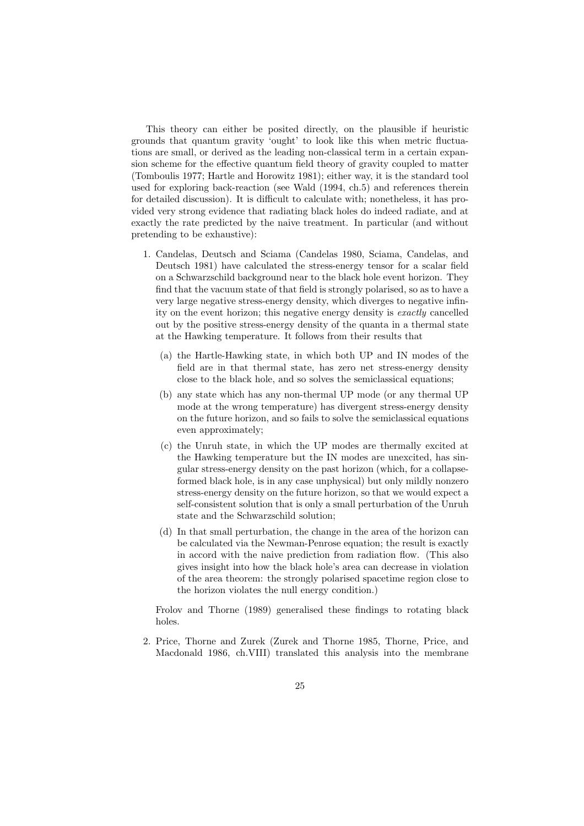This theory can either be posited directly, on the plausible if heuristic grounds that quantum gravity 'ought' to look like this when metric fluctuations are small, or derived as the leading non-classical term in a certain expansion scheme for the effective quantum field theory of gravity coupled to matter (Tomboulis 1977; Hartle and Horowitz 1981); either way, it is the standard tool used for exploring back-reaction (see Wald (1994, ch.5) and references therein for detailed discussion). It is difficult to calculate with; nonetheless, it has provided very strong evidence that radiating black holes do indeed radiate, and at exactly the rate predicted by the naive treatment. In particular (and without pretending to be exhaustive):

- 1. Candelas, Deutsch and Sciama (Candelas 1980, Sciama, Candelas, and Deutsch 1981) have calculated the stress-energy tensor for a scalar field on a Schwarzschild background near to the black hole event horizon. They find that the vacuum state of that field is strongly polarised, so as to have a very large negative stress-energy density, which diverges to negative infinity on the event horizon; this negative energy density is exactly cancelled out by the positive stress-energy density of the quanta in a thermal state at the Hawking temperature. It follows from their results that
	- (a) the Hartle-Hawking state, in which both UP and IN modes of the field are in that thermal state, has zero net stress-energy density close to the black hole, and so solves the semiclassical equations;
	- (b) any state which has any non-thermal UP mode (or any thermal UP mode at the wrong temperature) has divergent stress-energy density on the future horizon, and so fails to solve the semiclassical equations even approximately;
	- (c) the Unruh state, in which the UP modes are thermally excited at the Hawking temperature but the IN modes are unexcited, has singular stress-energy density on the past horizon (which, for a collapseformed black hole, is in any case unphysical) but only mildly nonzero stress-energy density on the future horizon, so that we would expect a self-consistent solution that is only a small perturbation of the Unruh state and the Schwarzschild solution;
	- (d) In that small perturbation, the change in the area of the horizon can be calculated via the Newman-Penrose equation; the result is exactly in accord with the naive prediction from radiation flow. (This also gives insight into how the black hole's area can decrease in violation of the area theorem: the strongly polarised spacetime region close to the horizon violates the null energy condition.)

Frolov and Thorne (1989) generalised these findings to rotating black holes.

2. Price, Thorne and Zurek (Zurek and Thorne 1985, Thorne, Price, and Macdonald 1986, ch.VIII) translated this analysis into the membrane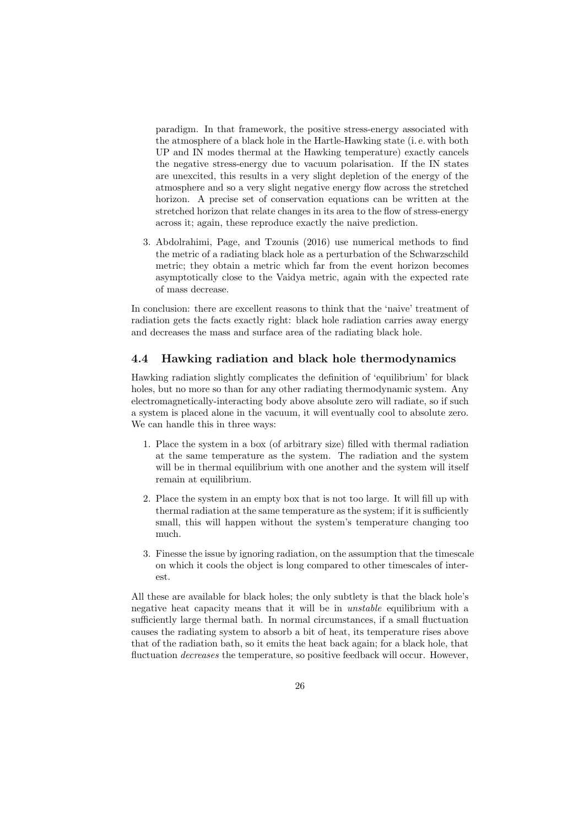paradigm. In that framework, the positive stress-energy associated with the atmosphere of a black hole in the Hartle-Hawking state (i. e. with both UP and IN modes thermal at the Hawking temperature) exactly cancels the negative stress-energy due to vacuum polarisation. If the IN states are unexcited, this results in a very slight depletion of the energy of the atmosphere and so a very slight negative energy flow across the stretched horizon. A precise set of conservation equations can be written at the stretched horizon that relate changes in its area to the flow of stress-energy across it; again, these reproduce exactly the naive prediction.

3. Abdolrahimi, Page, and Tzounis (2016) use numerical methods to find the metric of a radiating black hole as a perturbation of the Schwarzschild metric; they obtain a metric which far from the event horizon becomes asymptotically close to the Vaidya metric, again with the expected rate of mass decrease.

In conclusion: there are excellent reasons to think that the 'naive' treatment of radiation gets the facts exactly right: black hole radiation carries away energy and decreases the mass and surface area of the radiating black hole.

#### 4.4 Hawking radiation and black hole thermodynamics

Hawking radiation slightly complicates the definition of 'equilibrium' for black holes, but no more so than for any other radiating thermodynamic system. Any electromagnetically-interacting body above absolute zero will radiate, so if such a system is placed alone in the vacuum, it will eventually cool to absolute zero. We can handle this in three ways:

- 1. Place the system in a box (of arbitrary size) filled with thermal radiation at the same temperature as the system. The radiation and the system will be in thermal equilibrium with one another and the system will itself remain at equilibrium.
- 2. Place the system in an empty box that is not too large. It will fill up with thermal radiation at the same temperature as the system; if it is sufficiently small, this will happen without the system's temperature changing too much.
- 3. Finesse the issue by ignoring radiation, on the assumption that the timescale on which it cools the object is long compared to other timescales of interest.

All these are available for black holes; the only subtlety is that the black hole's negative heat capacity means that it will be in unstable equilibrium with a sufficiently large thermal bath. In normal circumstances, if a small fluctuation causes the radiating system to absorb a bit of heat, its temperature rises above that of the radiation bath, so it emits the heat back again; for a black hole, that fluctuation *decreases* the temperature, so positive feedback will occur. However,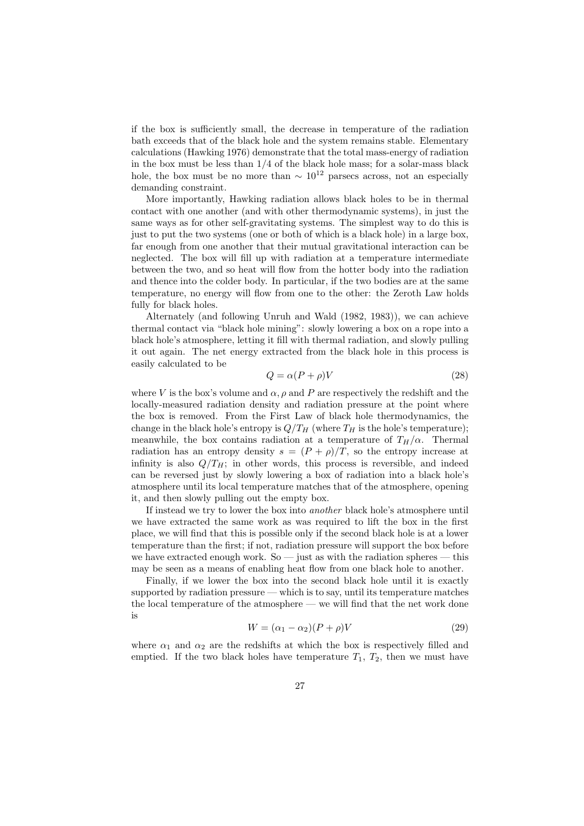if the box is sufficiently small, the decrease in temperature of the radiation bath exceeds that of the black hole and the system remains stable. Elementary calculations (Hawking 1976) demonstrate that the total mass-energy of radiation in the box must be less than  $1/4$  of the black hole mass; for a solar-mass black hole, the box must be no more than  $\sim 10^{12}$  parsecs across, not an especially demanding constraint.

More importantly, Hawking radiation allows black holes to be in thermal contact with one another (and with other thermodynamic systems), in just the same ways as for other self-gravitating systems. The simplest way to do this is just to put the two systems (one or both of which is a black hole) in a large box, far enough from one another that their mutual gravitational interaction can be neglected. The box will fill up with radiation at a temperature intermediate between the two, and so heat will flow from the hotter body into the radiation and thence into the colder body. In particular, if the two bodies are at the same temperature, no energy will flow from one to the other: the Zeroth Law holds fully for black holes.

Alternately (and following Unruh and Wald (1982, 1983)), we can achieve thermal contact via "black hole mining": slowly lowering a box on a rope into a black hole's atmosphere, letting it fill with thermal radiation, and slowly pulling it out again. The net energy extracted from the black hole in this process is easily calculated to be

$$
Q = \alpha (P + \rho)V \tag{28}
$$

where V is the box's volume and  $\alpha$ ,  $\rho$  and P are respectively the redshift and the locally-measured radiation density and radiation pressure at the point where the box is removed. From the First Law of black hole thermodynamics, the change in the black hole's entropy is  $Q/T_H$  (where  $T_H$  is the hole's temperature); meanwhile, the box contains radiation at a temperature of  $T_H/\alpha$ . Thermal radiation has an entropy density  $s = (P + \rho)/T$ , so the entropy increase at infinity is also  $Q/T_H$ ; in other words, this process is reversible, and indeed can be reversed just by slowly lowering a box of radiation into a black hole's atmosphere until its local temperature matches that of the atmosphere, opening it, and then slowly pulling out the empty box.

If instead we try to lower the box into another black hole's atmosphere until we have extracted the same work as was required to lift the box in the first place, we will find that this is possible only if the second black hole is at a lower temperature than the first; if not, radiation pressure will support the box before we have extracted enough work. So  $-$  just as with the radiation spheres  $-$  this may be seen as a means of enabling heat flow from one black hole to another.

Finally, if we lower the box into the second black hole until it is exactly supported by radiation pressure — which is to say, until its temperature matches the local temperature of the atmosphere — we will find that the net work done is

$$
W = (\alpha_1 - \alpha_2)(P + \rho)V \tag{29}
$$

where  $\alpha_1$  and  $\alpha_2$  are the redshifts at which the box is respectively filled and emptied. If the two black holes have temperature  $T_1$ ,  $T_2$ , then we must have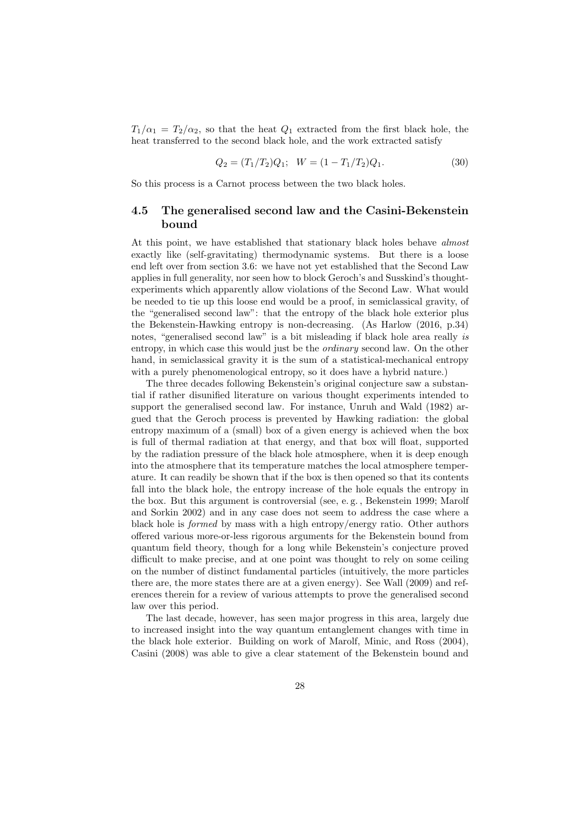$T_1/\alpha_1 = T_2/\alpha_2$ , so that the heat  $Q_1$  extracted from the first black hole, the heat transferred to the second black hole, and the work extracted satisfy

$$
Q_2 = (T_1/T_2)Q_1; \quad W = (1 - T_1/T_2)Q_1.
$$
\n(30)

So this process is a Carnot process between the two black holes.

### 4.5 The generalised second law and the Casini-Bekenstein bound

At this point, we have established that stationary black holes behave *almost* exactly like (self-gravitating) thermodynamic systems. But there is a loose end left over from section 3.6: we have not yet established that the Second Law applies in full generality, nor seen how to block Geroch's and Susskind's thoughtexperiments which apparently allow violations of the Second Law. What would be needed to tie up this loose end would be a proof, in semiclassical gravity, of the "generalised second law": that the entropy of the black hole exterior plus the Bekenstein-Hawking entropy is non-decreasing. (As Harlow (2016, p.34) notes, "generalised second law" is a bit misleading if black hole area really is entropy, in which case this would just be the ordinary second law. On the other hand, in semiclassical gravity it is the sum of a statistical-mechanical entropy with a purely phenomenological entropy, so it does have a hybrid nature.)

The three decades following Bekenstein's original conjecture saw a substantial if rather disunified literature on various thought experiments intended to support the generalised second law. For instance, Unruh and Wald (1982) argued that the Geroch process is prevented by Hawking radiation: the global entropy maximum of a (small) box of a given energy is achieved when the box is full of thermal radiation at that energy, and that box will float, supported by the radiation pressure of the black hole atmosphere, when it is deep enough into the atmosphere that its temperature matches the local atmosphere temperature. It can readily be shown that if the box is then opened so that its contents fall into the black hole, the entropy increase of the hole equals the entropy in the box. But this argument is controversial (see, e. g. , Bekenstein 1999; Marolf and Sorkin 2002) and in any case does not seem to address the case where a black hole is formed by mass with a high entropy/energy ratio. Other authors offered various more-or-less rigorous arguments for the Bekenstein bound from quantum field theory, though for a long while Bekenstein's conjecture proved difficult to make precise, and at one point was thought to rely on some ceiling on the number of distinct fundamental particles (intuitively, the more particles there are, the more states there are at a given energy). See Wall (2009) and references therein for a review of various attempts to prove the generalised second law over this period.

The last decade, however, has seen major progress in this area, largely due to increased insight into the way quantum entanglement changes with time in the black hole exterior. Building on work of Marolf, Minic, and Ross (2004), Casini (2008) was able to give a clear statement of the Bekenstein bound and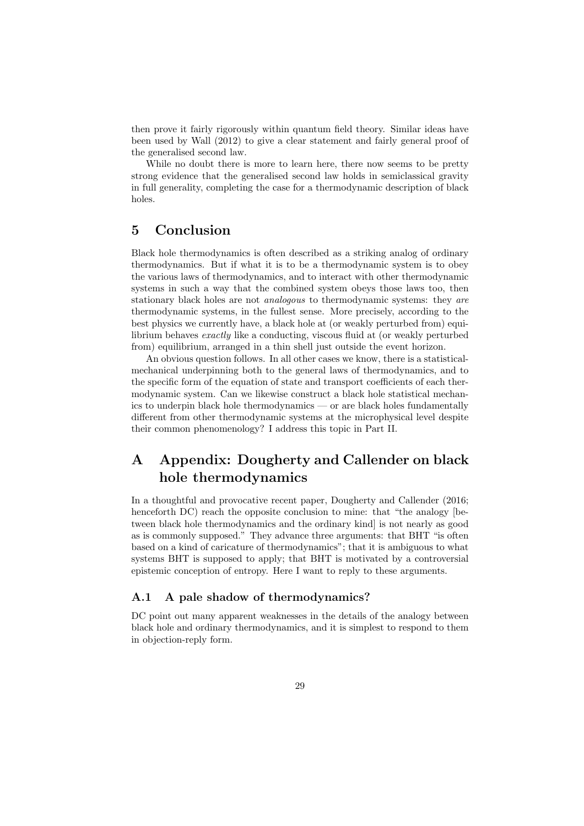then prove it fairly rigorously within quantum field theory. Similar ideas have been used by Wall (2012) to give a clear statement and fairly general proof of the generalised second law.

While no doubt there is more to learn here, there now seems to be pretty strong evidence that the generalised second law holds in semiclassical gravity in full generality, completing the case for a thermodynamic description of black holes.

## 5 Conclusion

Black hole thermodynamics is often described as a striking analog of ordinary thermodynamics. But if what it is to be a thermodynamic system is to obey the various laws of thermodynamics, and to interact with other thermodynamic systems in such a way that the combined system obeys those laws too, then stationary black holes are not analogous to thermodynamic systems: they are thermodynamic systems, in the fullest sense. More precisely, according to the best physics we currently have, a black hole at (or weakly perturbed from) equilibrium behaves exactly like a conducting, viscous fluid at (or weakly perturbed from) equilibrium, arranged in a thin shell just outside the event horizon.

An obvious question follows. In all other cases we know, there is a statisticalmechanical underpinning both to the general laws of thermodynamics, and to the specific form of the equation of state and transport coefficients of each thermodynamic system. Can we likewise construct a black hole statistical mechanics to underpin black hole thermodynamics — or are black holes fundamentally different from other thermodynamic systems at the microphysical level despite their common phenomenology? I address this topic in Part II.

## A Appendix: Dougherty and Callender on black hole thermodynamics

In a thoughtful and provocative recent paper, Dougherty and Callender (2016; henceforth DC) reach the opposite conclusion to mine: that "the analogy [between black hole thermodynamics and the ordinary kind] is not nearly as good as is commonly supposed." They advance three arguments: that BHT "is often based on a kind of caricature of thermodynamics"; that it is ambiguous to what systems BHT is supposed to apply; that BHT is motivated by a controversial epistemic conception of entropy. Here I want to reply to these arguments.

#### A.1 A pale shadow of thermodynamics?

DC point out many apparent weaknesses in the details of the analogy between black hole and ordinary thermodynamics, and it is simplest to respond to them in objection-reply form.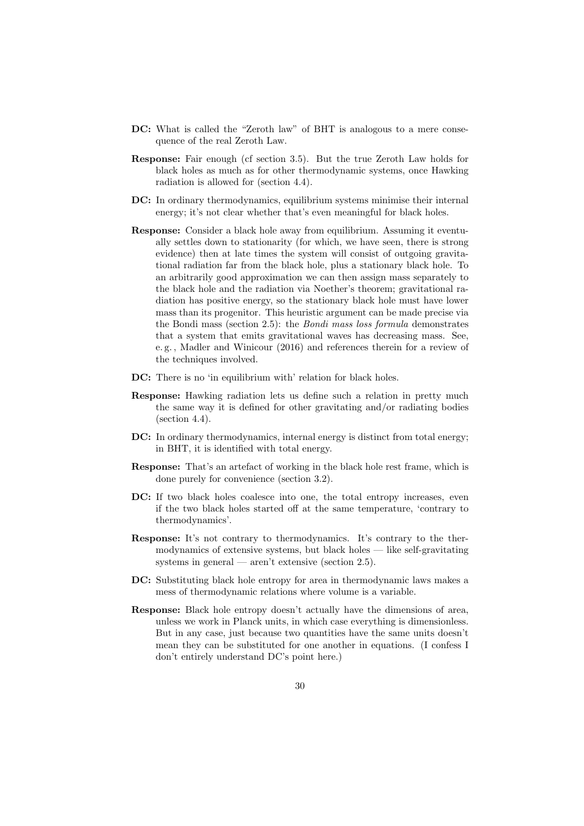- DC: What is called the "Zeroth law" of BHT is analogous to a mere consequence of the real Zeroth Law.
- Response: Fair enough (cf section 3.5). But the true Zeroth Law holds for black holes as much as for other thermodynamic systems, once Hawking radiation is allowed for (section 4.4).
- DC: In ordinary thermodynamics, equilibrium systems minimise their internal energy; it's not clear whether that's even meaningful for black holes.
- Response: Consider a black hole away from equilibrium. Assuming it eventually settles down to stationarity (for which, we have seen, there is strong evidence) then at late times the system will consist of outgoing gravitational radiation far from the black hole, plus a stationary black hole. To an arbitrarily good approximation we can then assign mass separately to the black hole and the radiation via Noether's theorem; gravitational radiation has positive energy, so the stationary black hole must have lower mass than its progenitor. This heuristic argument can be made precise via the Bondi mass (section 2.5): the Bondi mass loss formula demonstrates that a system that emits gravitational waves has decreasing mass. See, e. g. , Madler and Winicour (2016) and references therein for a review of the techniques involved.
- DC: There is no 'in equilibrium with' relation for black holes.
- Response: Hawking radiation lets us define such a relation in pretty much the same way it is defined for other gravitating and/or radiating bodies (section 4.4).
- DC: In ordinary thermodynamics, internal energy is distinct from total energy; in BHT, it is identified with total energy.
- Response: That's an artefact of working in the black hole rest frame, which is done purely for convenience (section 3.2).
- DC: If two black holes coalesce into one, the total entropy increases, even if the two black holes started off at the same temperature, 'contrary to thermodynamics'.
- Response: It's not contrary to thermodynamics. It's contrary to the thermodynamics of extensive systems, but black holes — like self-gravitating systems in general — aren't extensive (section  $2.5$ ).
- DC: Substituting black hole entropy for area in thermodynamic laws makes a mess of thermodynamic relations where volume is a variable.
- Response: Black hole entropy doesn't actually have the dimensions of area, unless we work in Planck units, in which case everything is dimensionless. But in any case, just because two quantities have the same units doesn't mean they can be substituted for one another in equations. (I confess I don't entirely understand DC's point here.)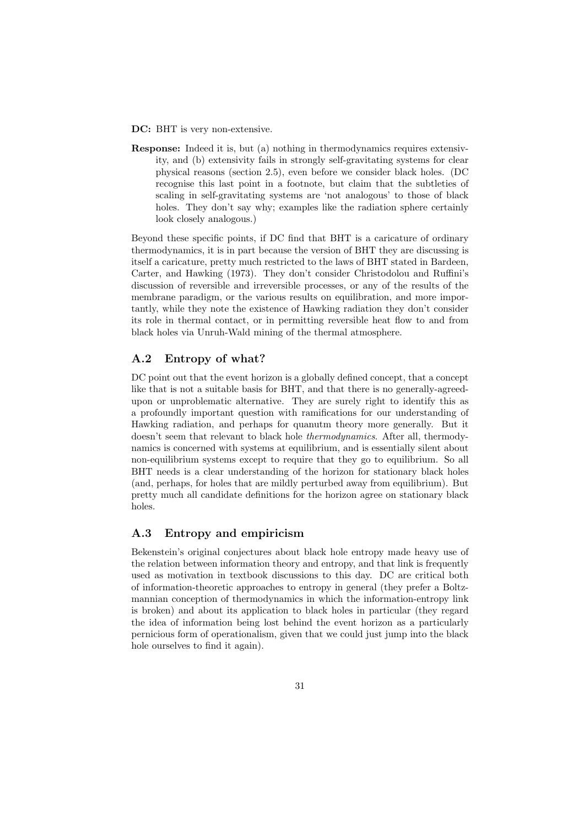DC: BHT is very non-extensive.

Response: Indeed it is, but (a) nothing in thermodynamics requires extensivity, and (b) extensivity fails in strongly self-gravitating systems for clear physical reasons (section 2.5), even before we consider black holes. (DC recognise this last point in a footnote, but claim that the subtleties of scaling in self-gravitating systems are 'not analogous' to those of black holes. They don't say why; examples like the radiation sphere certainly look closely analogous.)

Beyond these specific points, if DC find that BHT is a caricature of ordinary thermodynamics, it is in part because the version of BHT they are discussing is itself a caricature, pretty much restricted to the laws of BHT stated in Bardeen, Carter, and Hawking (1973). They don't consider Christodolou and Ruffini's discussion of reversible and irreversible processes, or any of the results of the membrane paradigm, or the various results on equilibration, and more importantly, while they note the existence of Hawking radiation they don't consider its role in thermal contact, or in permitting reversible heat flow to and from black holes via Unruh-Wald mining of the thermal atmosphere.

#### A.2 Entropy of what?

DC point out that the event horizon is a globally defined concept, that a concept like that is not a suitable basis for BHT, and that there is no generally-agreedupon or unproblematic alternative. They are surely right to identify this as a profoundly important question with ramifications for our understanding of Hawking radiation, and perhaps for quanutm theory more generally. But it doesn't seem that relevant to black hole thermodynamics. After all, thermodynamics is concerned with systems at equilibrium, and is essentially silent about non-equilibrium systems except to require that they go to equilibrium. So all BHT needs is a clear understanding of the horizon for stationary black holes (and, perhaps, for holes that are mildly perturbed away from equilibrium). But pretty much all candidate definitions for the horizon agree on stationary black holes.

#### A.3 Entropy and empiricism

Bekenstein's original conjectures about black hole entropy made heavy use of the relation between information theory and entropy, and that link is frequently used as motivation in textbook discussions to this day. DC are critical both of information-theoretic approaches to entropy in general (they prefer a Boltzmannian conception of thermodynamics in which the information-entropy link is broken) and about its application to black holes in particular (they regard the idea of information being lost behind the event horizon as a particularly pernicious form of operationalism, given that we could just jump into the black hole ourselves to find it again).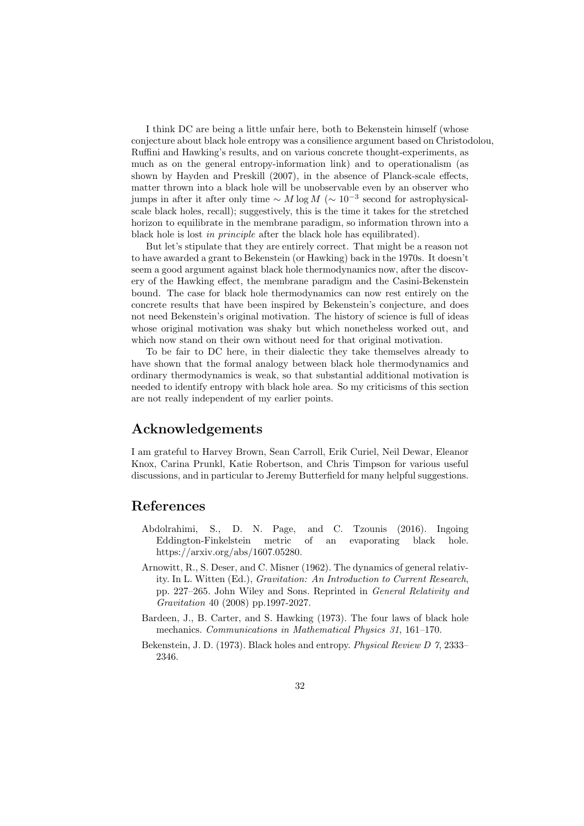I think DC are being a little unfair here, both to Bekenstein himself (whose conjecture about black hole entropy was a consilience argument based on Christodolou, Ruffini and Hawking's results, and on various concrete thought-experiments, as much as on the general entropy-information link) and to operationalism (as shown by Hayden and Preskill (2007), in the absence of Planck-scale effects, matter thrown into a black hole will be unobservable even by an observer who jumps in after it after only time  $\sim M \log M$  ( $\sim 10^{-3}$  second for astrophysicalscale black holes, recall); suggestively, this is the time it takes for the stretched horizon to equilibrate in the membrane paradigm, so information thrown into a black hole is lost in principle after the black hole has equilibrated).

But let's stipulate that they are entirely correct. That might be a reason not to have awarded a grant to Bekenstein (or Hawking) back in the 1970s. It doesn't seem a good argument against black hole thermodynamics now, after the discovery of the Hawking effect, the membrane paradigm and the Casini-Bekenstein bound. The case for black hole thermodynamics can now rest entirely on the concrete results that have been inspired by Bekenstein's conjecture, and does not need Bekenstein's original motivation. The history of science is full of ideas whose original motivation was shaky but which nonetheless worked out, and which now stand on their own without need for that original motivation.

To be fair to DC here, in their dialectic they take themselves already to have shown that the formal analogy between black hole thermodynamics and ordinary thermodynamics is weak, so that substantial additional motivation is needed to identify entropy with black hole area. So my criticisms of this section are not really independent of my earlier points.

## Acknowledgements

I am grateful to Harvey Brown, Sean Carroll, Erik Curiel, Neil Dewar, Eleanor Knox, Carina Prunkl, Katie Robertson, and Chris Timpson for various useful discussions, and in particular to Jeremy Butterfield for many helpful suggestions.

## References

- Abdolrahimi, S., D. N. Page, and C. Tzounis (2016). Ingoing Eddington-Finkelstein metric of an evaporating black hole. https://arxiv.org/abs/1607.05280.
- Arnowitt, R., S. Deser, and C. Misner (1962). The dynamics of general relativity. In L. Witten (Ed.), Gravitation: An Introduction to Current Research, pp. 227–265. John Wiley and Sons. Reprinted in General Relativity and Gravitation 40 (2008) pp.1997-2027.
- Bardeen, J., B. Carter, and S. Hawking (1973). The four laws of black hole mechanics. Communications in Mathematical Physics 31, 161–170.
- Bekenstein, J. D. (1973). Black holes and entropy. Physical Review D 7, 2333– 2346.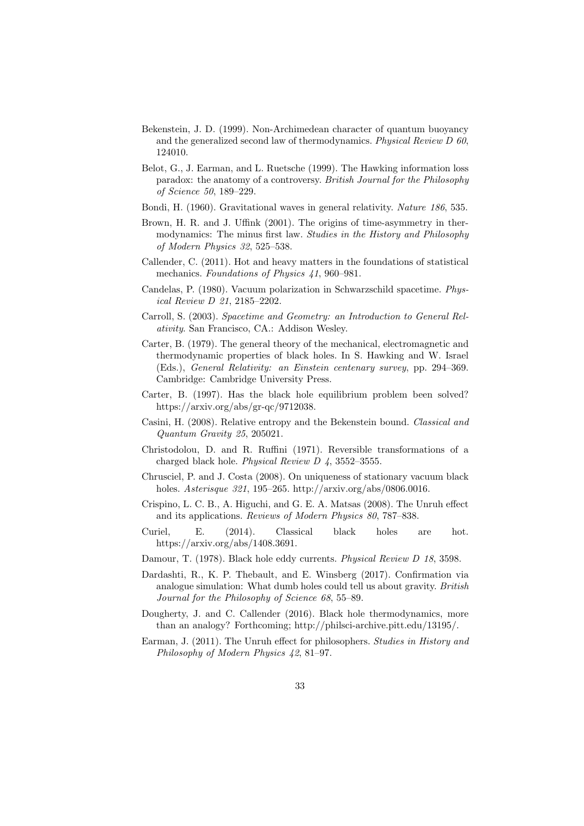- Bekenstein, J. D. (1999). Non-Archimedean character of quantum buoyancy and the generalized second law of thermodynamics. Physical Review D 60, 124010.
- Belot, G., J. Earman, and L. Ruetsche (1999). The Hawking information loss paradox: the anatomy of a controversy. British Journal for the Philosophy of Science 50, 189–229.
- Bondi, H. (1960). Gravitational waves in general relativity. Nature 186, 535.
- Brown, H. R. and J. Uffink (2001). The origins of time-asymmetry in thermodynamics: The minus first law. Studies in the History and Philosophy of Modern Physics 32, 525–538.
- Callender, C. (2011). Hot and heavy matters in the foundations of statistical mechanics. Foundations of Physics 41, 960–981.
- Candelas, P. (1980). Vacuum polarization in Schwarzschild spacetime. Physical Review D 21, 2185–2202.
- Carroll, S. (2003). Spacetime and Geometry: an Introduction to General Relativity. San Francisco, CA.: Addison Wesley.
- Carter, B. (1979). The general theory of the mechanical, electromagnetic and thermodynamic properties of black holes. In S. Hawking and W. Israel (Eds.), General Relativity: an Einstein centenary survey, pp. 294–369. Cambridge: Cambridge University Press.
- Carter, B. (1997). Has the black hole equilibrium problem been solved? https://arxiv.org/abs/gr-qc/9712038.
- Casini, H. (2008). Relative entropy and the Bekenstein bound. Classical and Quantum Gravity 25, 205021.
- Christodolou, D. and R. Ruffini (1971). Reversible transformations of a charged black hole. Physical Review  $D \nless 4$ , 3552–3555.
- Chrusciel, P. and J. Costa (2008). On uniqueness of stationary vacuum black holes. Asterisque 321, 195–265. http://arxiv.org/abs/0806.0016.
- Crispino, L. C. B., A. Higuchi, and G. E. A. Matsas (2008). The Unruh effect and its applications. Reviews of Modern Physics 80, 787–838.
- Curiel, E. (2014). Classical black holes are hot. https://arxiv.org/abs/1408.3691.
- Damour, T. (1978). Black hole eddy currents. Physical Review D 18, 3598.
- Dardashti, R., K. P. Thebault, and E. Winsberg (2017). Confirmation via analogue simulation: What dumb holes could tell us about gravity. British Journal for the Philosophy of Science 68, 55–89.
- Dougherty, J. and C. Callender (2016). Black hole thermodynamics, more than an analogy? Forthcoming; http://philsci-archive.pitt.edu/13195/.
- Earman, J. (2011). The Unruh effect for philosophers. Studies in History and Philosophy of Modern Physics 42, 81–97.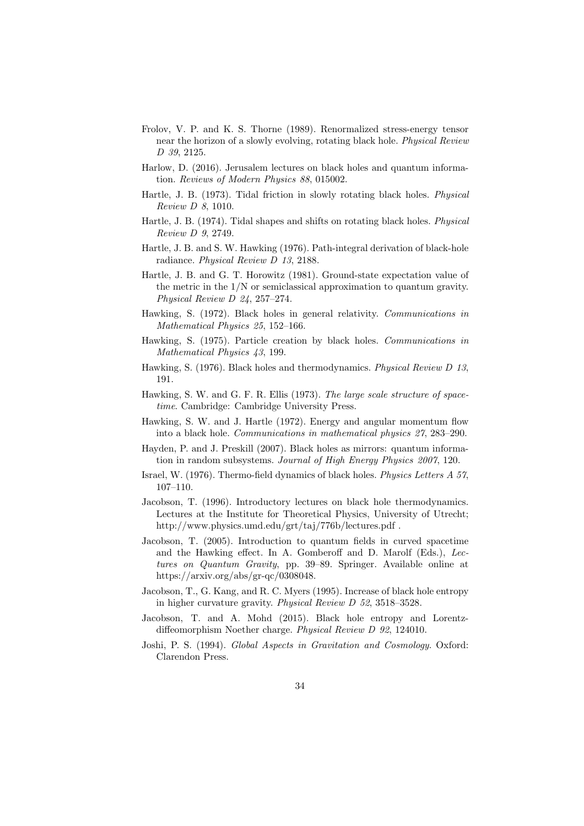- Frolov, V. P. and K. S. Thorne (1989). Renormalized stress-energy tensor near the horizon of a slowly evolving, rotating black hole. Physical Review D 39, 2125.
- Harlow, D. (2016). Jerusalem lectures on black holes and quantum information. Reviews of Modern Physics 88, 015002.
- Hartle, J. B. (1973). Tidal friction in slowly rotating black holes. Physical Review D 8, 1010.
- Hartle, J. B. (1974). Tidal shapes and shifts on rotating black holes. Physical Review D 9, 2749.
- Hartle, J. B. and S. W. Hawking (1976). Path-integral derivation of black-hole radiance. Physical Review D 13, 2188.
- Hartle, J. B. and G. T. Horowitz (1981). Ground-state expectation value of the metric in the 1/N or semiclassical approximation to quantum gravity. Physical Review D 24, 257–274.
- Hawking, S. (1972). Black holes in general relativity. Communications in Mathematical Physics 25, 152–166.
- Hawking, S. (1975). Particle creation by black holes. Communications in Mathematical Physics 43, 199.
- Hawking, S. (1976). Black holes and thermodynamics. Physical Review D 13, 191.
- Hawking, S. W. and G. F. R. Ellis (1973). The large scale structure of spacetime. Cambridge: Cambridge University Press.
- Hawking, S. W. and J. Hartle (1972). Energy and angular momentum flow into a black hole. Communications in mathematical physics 27, 283–290.
- Hayden, P. and J. Preskill (2007). Black holes as mirrors: quantum information in random subsystems. Journal of High Energy Physics 2007, 120.
- Israel, W. (1976). Thermo-field dynamics of black holes. Physics Letters A 57, 107–110.
- Jacobson, T. (1996). Introductory lectures on black hole thermodynamics. Lectures at the Institute for Theoretical Physics, University of Utrecht; http://www.physics.umd.edu/grt/taj/776b/lectures.pdf .
- Jacobson, T. (2005). Introduction to quantum fields in curved spacetime and the Hawking effect. In A. Gomberoff and D. Marolf (Eds.), Lectures on Quantum Gravity, pp. 39–89. Springer. Available online at https://arxiv.org/abs/gr-qc/0308048.
- Jacobson, T., G. Kang, and R. C. Myers (1995). Increase of black hole entropy in higher curvature gravity. Physical Review D 52, 3518–3528.
- Jacobson, T. and A. Mohd (2015). Black hole entropy and Lorentzdiffeomorphism Noether charge. Physical Review D 92, 124010.
- Joshi, P. S. (1994). Global Aspects in Gravitation and Cosmology. Oxford: Clarendon Press.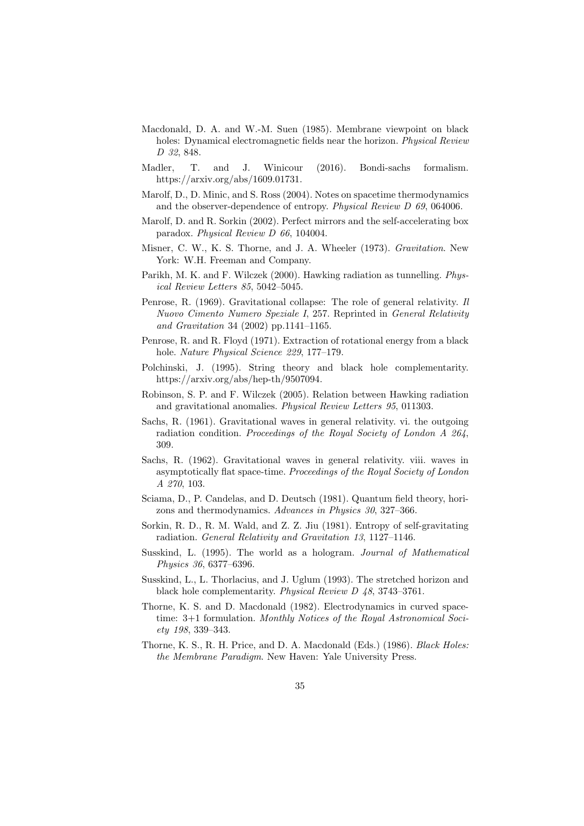- Macdonald, D. A. and W.-M. Suen (1985). Membrane viewpoint on black holes: Dynamical electromagnetic fields near the horizon. Physical Review D 32, 848.
- Madler, T. and J. Winicour (2016). Bondi-sachs formalism. https://arxiv.org/abs/1609.01731.
- Marolf, D., D. Minic, and S. Ross (2004). Notes on spacetime thermodynamics and the observer-dependence of entropy. Physical Review D 69, 064006.
- Marolf, D. and R. Sorkin (2002). Perfect mirrors and the self-accelerating box paradox. Physical Review D 66, 104004.
- Misner, C. W., K. S. Thorne, and J. A. Wheeler (1973). Gravitation. New York: W.H. Freeman and Company.
- Parikh, M. K. and F. Wilczek (2000). Hawking radiation as tunnelling. Physical Review Letters 85, 5042–5045.
- Penrose, R. (1969). Gravitational collapse: The role of general relativity. Il Nuovo Cimento Numero Speziale I, 257. Reprinted in General Relativity and Gravitation 34 (2002) pp.1141–1165.
- Penrose, R. and R. Floyd (1971). Extraction of rotational energy from a black hole. Nature Physical Science 229, 177–179.
- Polchinski, J. (1995). String theory and black hole complementarity. https://arxiv.org/abs/hep-th/9507094.
- Robinson, S. P. and F. Wilczek (2005). Relation between Hawking radiation and gravitational anomalies. Physical Review Letters 95, 011303.
- Sachs, R. (1961). Gravitational waves in general relativity. vi. the outgoing radiation condition. Proceedings of the Royal Society of London A 264, 309.
- Sachs, R. (1962). Gravitational waves in general relativity. viii. waves in asymptotically flat space-time. Proceedings of the Royal Society of London A 270, 103.
- Sciama, D., P. Candelas, and D. Deutsch (1981). Quantum field theory, horizons and thermodynamics. Advances in Physics 30, 327–366.
- Sorkin, R. D., R. M. Wald, and Z. Z. Jiu (1981). Entropy of self-gravitating radiation. General Relativity and Gravitation 13, 1127–1146.
- Susskind, L. (1995). The world as a hologram. Journal of Mathematical Physics 36, 6377–6396.
- Susskind, L., L. Thorlacius, and J. Uglum (1993). The stretched horizon and black hole complementarity. Physical Review D 48, 3743–3761.
- Thorne, K. S. and D. Macdonald (1982). Electrodynamics in curved spacetime: 3+1 formulation. Monthly Notices of the Royal Astronomical Society 198, 339–343.
- Thorne, K. S., R. H. Price, and D. A. Macdonald (Eds.) (1986). Black Holes: the Membrane Paradigm. New Haven: Yale University Press.